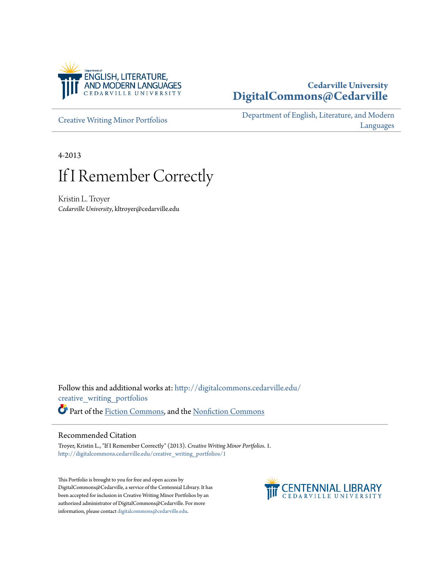

## **Cedarville University [DigitalCommons@Cedarville](http://digitalcommons.cedarville.edu?utm_source=digitalcommons.cedarville.edu%2Fcreative_writing_portfolios%2F1&utm_medium=PDF&utm_campaign=PDFCoverPages)**

[Creative Writing Minor Portfolios](http://digitalcommons.cedarville.edu/creative_writing_portfolios?utm_source=digitalcommons.cedarville.edu%2Fcreative_writing_portfolios%2F1&utm_medium=PDF&utm_campaign=PDFCoverPages)

[Department of English, Literature, and Modern](http://digitalcommons.cedarville.edu/english_literature_modern_languages?utm_source=digitalcommons.cedarville.edu%2Fcreative_writing_portfolios%2F1&utm_medium=PDF&utm_campaign=PDFCoverPages) [Languages](http://digitalcommons.cedarville.edu/english_literature_modern_languages?utm_source=digitalcommons.cedarville.edu%2Fcreative_writing_portfolios%2F1&utm_medium=PDF&utm_campaign=PDFCoverPages)

4-2013

# If I Remember Correctly

Kristin L. Troyer *Cedarville University*, kltroyer@cedarville.edu

Follow this and additional works at: [http://digitalcommons.cedarville.edu/](http://digitalcommons.cedarville.edu/creative_writing_portfolios?utm_source=digitalcommons.cedarville.edu%2Fcreative_writing_portfolios%2F1&utm_medium=PDF&utm_campaign=PDFCoverPages) [creative\\_writing\\_portfolios](http://digitalcommons.cedarville.edu/creative_writing_portfolios?utm_source=digitalcommons.cedarville.edu%2Fcreative_writing_portfolios%2F1&utm_medium=PDF&utm_campaign=PDFCoverPages) Part of the [Fiction Commons](http://network.bepress.com/hgg/discipline/1151?utm_source=digitalcommons.cedarville.edu%2Fcreative_writing_portfolios%2F1&utm_medium=PDF&utm_campaign=PDFCoverPages), and the [Nonfiction Commons](http://network.bepress.com/hgg/discipline/1152?utm_source=digitalcommons.cedarville.edu%2Fcreative_writing_portfolios%2F1&utm_medium=PDF&utm_campaign=PDFCoverPages)

#### Recommended Citation

Troyer, Kristin L., "If I Remember Correctly" (2013). *Creative Writing Minor Portfolios*. 1. [http://digitalcommons.cedarville.edu/creative\\_writing\\_portfolios/1](http://digitalcommons.cedarville.edu/creative_writing_portfolios/1?utm_source=digitalcommons.cedarville.edu%2Fcreative_writing_portfolios%2F1&utm_medium=PDF&utm_campaign=PDFCoverPages)

This Portfolio is brought to you for free and open access by DigitalCommons@Cedarville, a service of the Centennial Library. It has been accepted for inclusion in Creative Writing Minor Portfolios by an authorized administrator of DigitalCommons@Cedarville. For more information, please contact [digitalcommons@cedarville.edu.](mailto:digitalcommons@cedarville.edu)

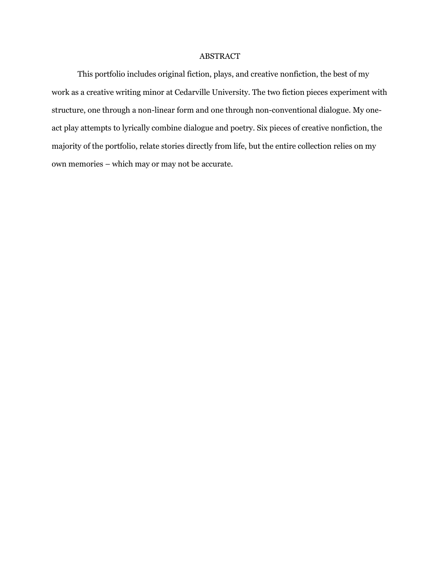### ABSTRACT

This portfolio includes original fiction, plays, and creative nonfiction, the best of my work as a creative writing minor at Cedarville University. The two fiction pieces experiment with structure, one through a non-linear form and one through non-conventional dialogue. My oneact play attempts to lyrically combine dialogue and poetry. Six pieces of creative nonfiction, the majority of the portfolio, relate stories directly from life, but the entire collection relies on my own memories – which may or may not be accurate.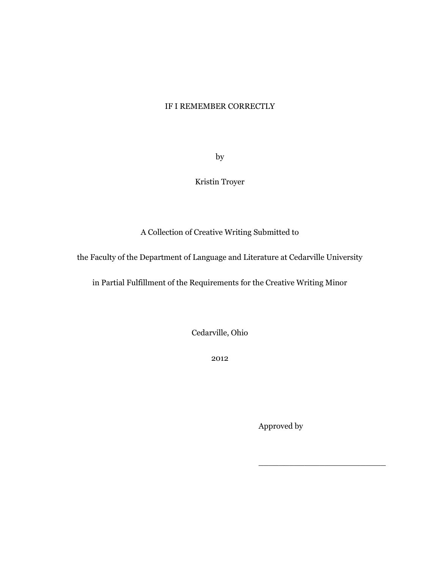## IF I REMEMBER CORRECTLY

by

Kristin Troyer

A Collection of Creative Writing Submitted to

the Faculty of the Department of Language and Literature at Cedarville University

in Partial Fulfillment of the Requirements for the Creative Writing Minor

Cedarville, Ohio

2012

Approved by

\_\_\_\_\_\_\_\_\_\_\_\_\_\_\_\_\_\_\_\_\_\_\_\_\_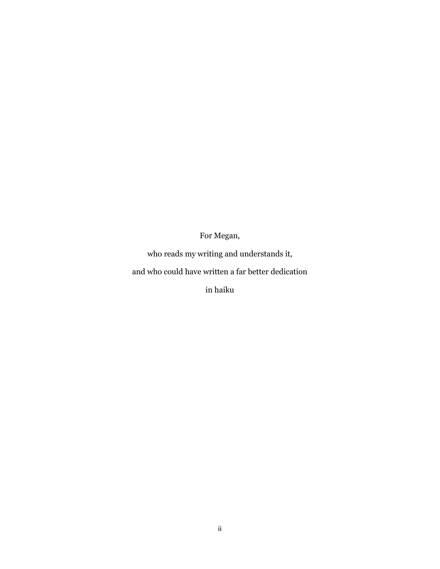## For Megan,

who reads my writing and understands it,

and who could have written a far better dedication

in haiku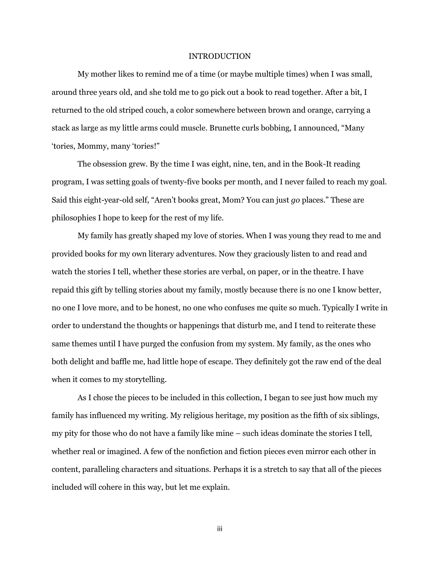#### INTRODUCTION

My mother likes to remind me of a time (or maybe multiple times) when I was small, around three years old, and she told me to go pick out a book to read together. After a bit, I returned to the old striped couch, a color somewhere between brown and orange, carrying a stack as large as my little arms could muscle. Brunette curls bobbing, I announced, "Many 'tories, Mommy, many 'tories!"

The obsession grew. By the time I was eight, nine, ten, and in the Book-It reading program, I was setting goals of twenty-five books per month, and I never failed to reach my goal. Said this eight-year-old self, "Aren't books great, Mom? You can just *go* places." These are philosophies I hope to keep for the rest of my life.

My family has greatly shaped my love of stories. When I was young they read to me and provided books for my own literary adventures. Now they graciously listen to and read and watch the stories I tell, whether these stories are verbal, on paper, or in the theatre. I have repaid this gift by telling stories about my family, mostly because there is no one I know better, no one I love more, and to be honest, no one who confuses me quite so much. Typically I write in order to understand the thoughts or happenings that disturb me, and I tend to reiterate these same themes until I have purged the confusion from my system. My family, as the ones who both delight and baffle me, had little hope of escape. They definitely got the raw end of the deal when it comes to my storytelling.

As I chose the pieces to be included in this collection, I began to see just how much my family has influenced my writing. My religious heritage, my position as the fifth of six siblings, my pity for those who do not have a family like mine – such ideas dominate the stories I tell, whether real or imagined. A few of the nonfiction and fiction pieces even mirror each other in content, paralleling characters and situations. Perhaps it is a stretch to say that all of the pieces included will cohere in this way, but let me explain.

iii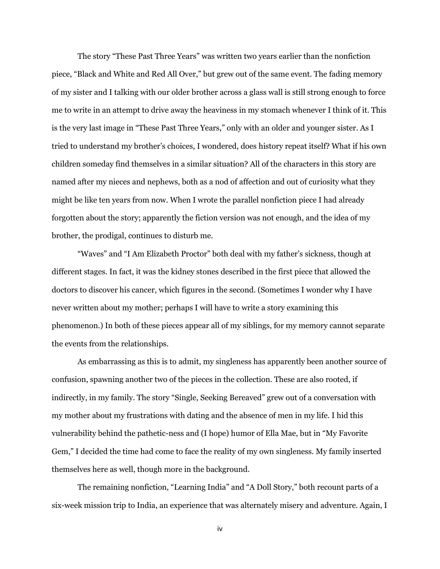The story "These Past Three Years" was written two years earlier than the nonfiction piece, "Black and White and Red All Over," but grew out of the same event. The fading memory of my sister and I talking with our older brother across a glass wall is still strong enough to force me to write in an attempt to drive away the heaviness in my stomach whenever I think of it. This is the very last image in "These Past Three Years," only with an older and younger sister. As I tried to understand my brother's choices, I wondered, does history repeat itself? What if his own children someday find themselves in a similar situation? All of the characters in this story are named after my nieces and nephews, both as a nod of affection and out of curiosity what they might be like ten years from now. When I wrote the parallel nonfiction piece I had already forgotten about the story; apparently the fiction version was not enough, and the idea of my brother, the prodigal, continues to disturb me.

"Waves" and "I Am Elizabeth Proctor" both deal with my father's sickness, though at different stages. In fact, it was the kidney stones described in the first piece that allowed the doctors to discover his cancer, which figures in the second. (Sometimes I wonder why I have never written about my mother; perhaps I will have to write a story examining this phenomenon.) In both of these pieces appear all of my siblings, for my memory cannot separate the events from the relationships.

As embarrassing as this is to admit, my singleness has apparently been another source of confusion, spawning another two of the pieces in the collection. These are also rooted, if indirectly, in my family. The story "Single, Seeking Bereaved" grew out of a conversation with my mother about my frustrations with dating and the absence of men in my life. I hid this vulnerability behind the pathetic-ness and (I hope) humor of Ella Mae, but in "My Favorite Gem," I decided the time had come to face the reality of my own singleness. My family inserted themselves here as well, though more in the background.

The remaining nonfiction, "Learning India" and "A Doll Story," both recount parts of a six-week mission trip to India, an experience that was alternately misery and adventure. Again, I

iv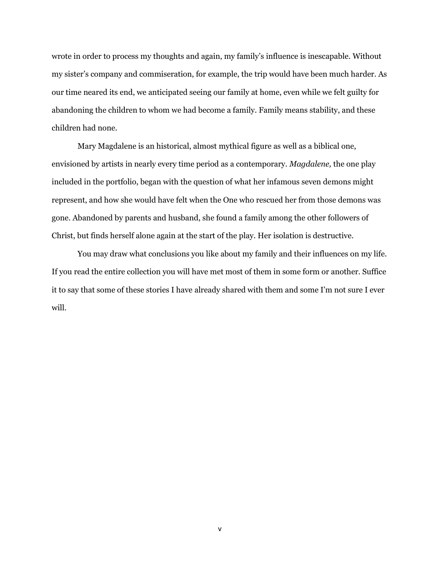wrote in order to process my thoughts and again, my family's influence is inescapable. Without my sister's company and commiseration, for example, the trip would have been much harder. As our time neared its end, we anticipated seeing our family at home, even while we felt guilty for abandoning the children to whom we had become a family. Family means stability, and these children had none.

Mary Magdalene is an historical, almost mythical figure as well as a biblical one, envisioned by artists in nearly every time period as a contemporary. *Magdalene,* the one play included in the portfolio, began with the question of what her infamous seven demons might represent, and how she would have felt when the One who rescued her from those demons was gone. Abandoned by parents and husband, she found a family among the other followers of Christ, but finds herself alone again at the start of the play. Her isolation is destructive.

You may draw what conclusions you like about my family and their influences on my life. If you read the entire collection you will have met most of them in some form or another. Suffice it to say that some of these stories I have already shared with them and some I'm not sure I ever will.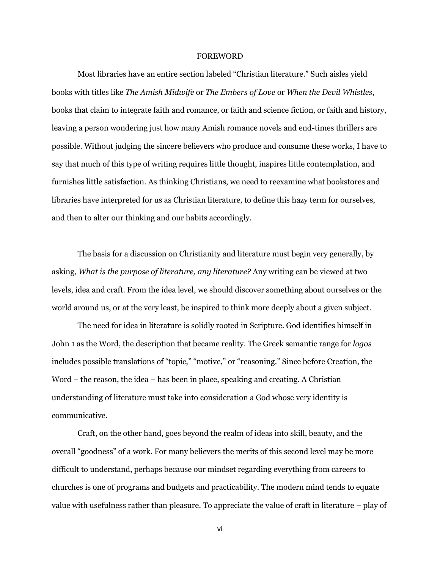#### FOREWORD

Most libraries have an entire section labeled "Christian literature." Such aisles yield books with titles like *The Amish Midwife* or *The Embers of Love* or *When the Devil Whistles*, books that claim to integrate faith and romance, or faith and science fiction, or faith and history, leaving a person wondering just how many Amish romance novels and end-times thrillers are possible. Without judging the sincere believers who produce and consume these works, I have to say that much of this type of writing requires little thought, inspires little contemplation, and furnishes little satisfaction. As thinking Christians, we need to reexamine what bookstores and libraries have interpreted for us as Christian literature, to define this hazy term for ourselves, and then to alter our thinking and our habits accordingly.

The basis for a discussion on Christianity and literature must begin very generally, by asking, *What is the purpose of literature, any literature?* Any writing can be viewed at two levels, idea and craft. From the idea level, we should discover something about ourselves or the world around us, or at the very least, be inspired to think more deeply about a given subject.

The need for idea in literature is solidly rooted in Scripture. God identifies himself in John 1 as the Word, the description that became reality. The Greek semantic range for *logos* includes possible translations of "topic," "motive," or "reasoning." Since before Creation, the Word – the reason, the idea – has been in place, speaking and creating. A Christian understanding of literature must take into consideration a God whose very identity is communicative.

Craft, on the other hand, goes beyond the realm of ideas into skill, beauty, and the overall "goodness" of a work. For many believers the merits of this second level may be more difficult to understand, perhaps because our mindset regarding everything from careers to churches is one of programs and budgets and practicability. The modern mind tends to equate value with usefulness rather than pleasure. To appreciate the value of craft in literature – play of

vi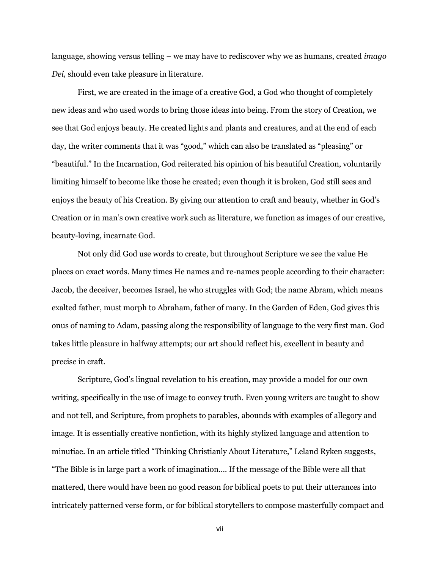language, showing versus telling – we may have to rediscover why we as humans, created *imago Dei,* should even take pleasure in literature.

First, we are created in the image of a creative God, a God who thought of completely new ideas and who used words to bring those ideas into being. From the story of Creation, we see that God enjoys beauty. He created lights and plants and creatures, and at the end of each day, the writer comments that it was "good," which can also be translated as "pleasing" or "beautiful." In the Incarnation, God reiterated his opinion of his beautiful Creation, voluntarily limiting himself to become like those he created; even though it is broken, God still sees and enjoys the beauty of his Creation. By giving our attention to craft and beauty, whether in God's Creation or in man's own creative work such as literature, we function as images of our creative, beauty-loving, incarnate God.

Not only did God use words to create, but throughout Scripture we see the value He places on exact words. Many times He names and re-names people according to their character: Jacob, the deceiver, becomes Israel, he who struggles with God; the name Abram, which means exalted father, must morph to Abraham, father of many. In the Garden of Eden, God gives this onus of naming to Adam, passing along the responsibility of language to the very first man. God takes little pleasure in halfway attempts; our art should reflect his, excellent in beauty and precise in craft.

Scripture, God's lingual revelation to his creation, may provide a model for our own writing, specifically in the use of image to convey truth. Even young writers are taught to show and not tell, and Scripture, from prophets to parables, abounds with examples of allegory and image. It is essentially creative nonfiction, with its highly stylized language and attention to minutiae. In an article titled "Thinking Christianly About Literature," Leland Ryken suggests, "The Bible is in large part a work of imagination…. If the message of the Bible were all that mattered, there would have been no good reason for biblical poets to put their utterances into intricately patterned verse form, or for biblical storytellers to compose masterfully compact and

vii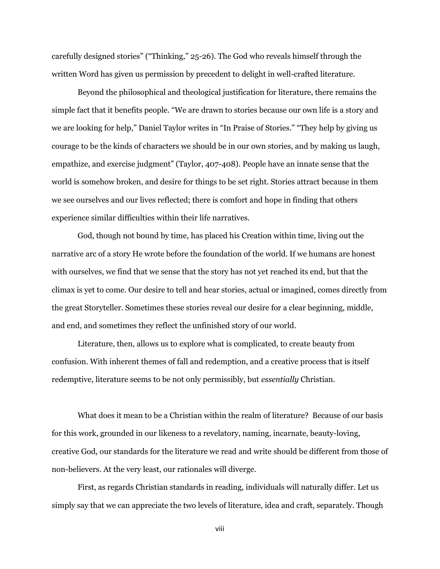carefully designed stories" ("Thinking," 25-26). The God who reveals himself through the written Word has given us permission by precedent to delight in well-crafted literature.

Beyond the philosophical and theological justification for literature, there remains the simple fact that it benefits people. "We are drawn to stories because our own life is a story and we are looking for help," Daniel Taylor writes in "In Praise of Stories." "They help by giving us courage to be the kinds of characters we should be in our own stories, and by making us laugh, empathize, and exercise judgment" (Taylor, 407-408). People have an innate sense that the world is somehow broken, and desire for things to be set right. Stories attract because in them we see ourselves and our lives reflected; there is comfort and hope in finding that others experience similar difficulties within their life narratives.

God, though not bound by time, has placed his Creation within time, living out the narrative arc of a story He wrote before the foundation of the world. If we humans are honest with ourselves, we find that we sense that the story has not yet reached its end, but that the climax is yet to come. Our desire to tell and hear stories, actual or imagined, comes directly from the great Storyteller. Sometimes these stories reveal our desire for a clear beginning, middle, and end, and sometimes they reflect the unfinished story of our world.

Literature, then, allows us to explore what is complicated, to create beauty from confusion. With inherent themes of fall and redemption, and a creative process that is itself redemptive, literature seems to be not only permissibly, but *essentially* Christian.

What does it mean to be a Christian within the realm of literature? Because of our basis for this work, grounded in our likeness to a revelatory, naming, incarnate, beauty-loving, creative God, our standards for the literature we read and write should be different from those of non-believers. At the very least, our rationales will diverge.

First, as regards Christian standards in reading, individuals will naturally differ. Let us simply say that we can appreciate the two levels of literature, idea and craft, separately. Though

viii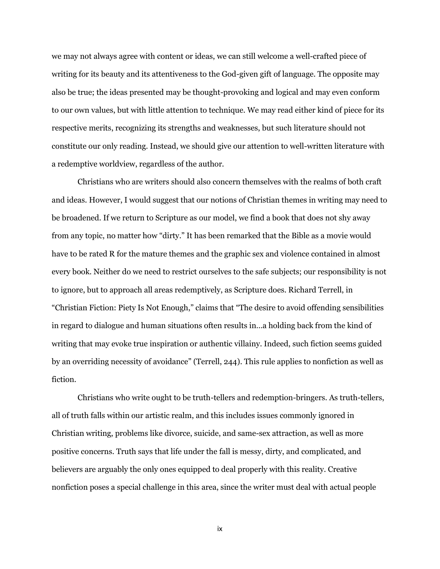we may not always agree with content or ideas, we can still welcome a well-crafted piece of writing for its beauty and its attentiveness to the God-given gift of language. The opposite may also be true; the ideas presented may be thought-provoking and logical and may even conform to our own values, but with little attention to technique. We may read either kind of piece for its respective merits, recognizing its strengths and weaknesses, but such literature should not constitute our only reading. Instead, we should give our attention to well-written literature with a redemptive worldview, regardless of the author.

Christians who are writers should also concern themselves with the realms of both craft and ideas. However, I would suggest that our notions of Christian themes in writing may need to be broadened. If we return to Scripture as our model, we find a book that does not shy away from any topic, no matter how "dirty." It has been remarked that the Bible as a movie would have to be rated R for the mature themes and the graphic sex and violence contained in almost every book. Neither do we need to restrict ourselves to the safe subjects; our responsibility is not to ignore, but to approach all areas redemptively, as Scripture does. Richard Terrell, in "Christian Fiction: Piety Is Not Enough," claims that "The desire to avoid offending sensibilities in regard to dialogue and human situations often results in…a holding back from the kind of writing that may evoke true inspiration or authentic villainy. Indeed, such fiction seems guided by an overriding necessity of avoidance" (Terrell, 244). This rule applies to nonfiction as well as fiction.

Christians who write ought to be truth-tellers and redemption-bringers. As truth-tellers, all of truth falls within our artistic realm, and this includes issues commonly ignored in Christian writing, problems like divorce, suicide, and same-sex attraction, as well as more positive concerns. Truth says that life under the fall is messy, dirty, and complicated, and believers are arguably the only ones equipped to deal properly with this reality. Creative nonfiction poses a special challenge in this area, since the writer must deal with actual people

ix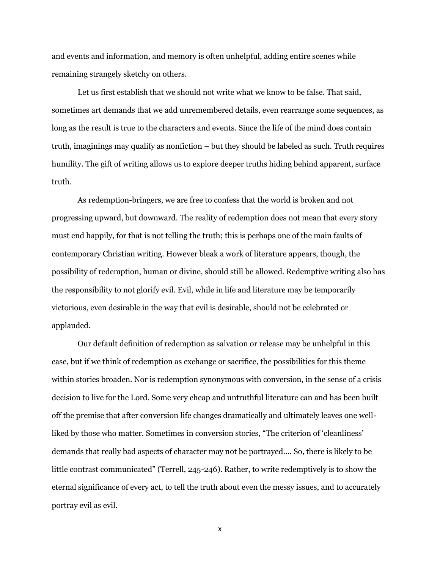and events and information, and memory is often unhelpful, adding entire scenes while remaining strangely sketchy on others.

Let us first establish that we should not write what we know to be false. That said, sometimes art demands that we add unremembered details, even rearrange some sequences, as long as the result is true to the characters and events. Since the life of the mind does contain truth, imaginings may qualify as nonfiction – but they should be labeled as such. Truth requires humility. The gift of writing allows us to explore deeper truths hiding behind apparent, surface truth.

As redemption-bringers, we are free to confess that the world is broken and not progressing upward, but downward. The reality of redemption does not mean that every story must end happily, for that is not telling the truth; this is perhaps one of the main faults of contemporary Christian writing. However bleak a work of literature appears, though, the possibility of redemption, human or divine, should still be allowed. Redemptive writing also has the responsibility to not glorify evil. Evil, while in life and literature may be temporarily victorious, even desirable in the way that evil is desirable, should not be celebrated or applauded.

Our default definition of redemption as salvation or release may be unhelpful in this case, but if we think of redemption as exchange or sacrifice, the possibilities for this theme within stories broaden. Nor is redemption synonymous with conversion, in the sense of a crisis decision to live for the Lord. Some very cheap and untruthful literature can and has been built off the premise that after conversion life changes dramatically and ultimately leaves one wellliked by those who matter. Sometimes in conversion stories, "The criterion of 'cleanliness' demands that really bad aspects of character may not be portrayed…. So, there is likely to be little contrast communicated" (Terrell, 245-246). Rather, to write redemptively is to show the eternal significance of every act, to tell the truth about even the messy issues, and to accurately portray evil as evil.

x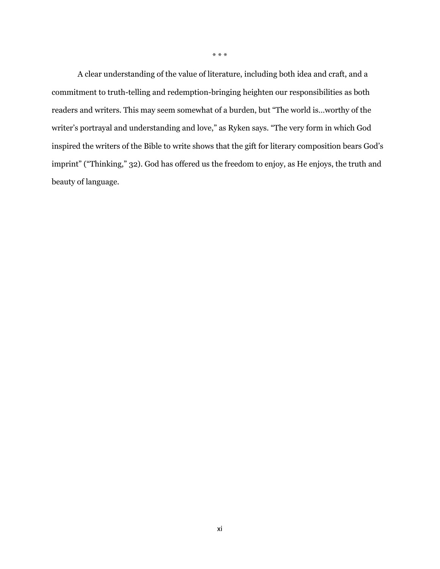A clear understanding of the value of literature, including both idea and craft, and a commitment to truth-telling and redemption-bringing heighten our responsibilities as both readers and writers. This may seem somewhat of a burden, but "The world is…worthy of the writer's portrayal and understanding and love," as Ryken says. "The very form in which God inspired the writers of the Bible to write shows that the gift for literary composition bears God's imprint" ("Thinking," 32). God has offered us the freedom to enjoy, as He enjoys, the truth and

beauty of language.

\* \* \*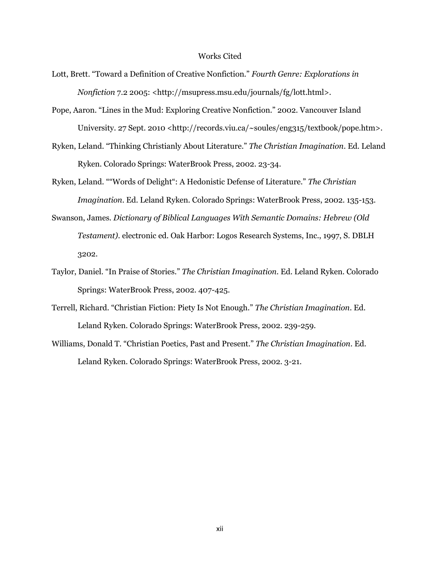#### Works Cited

- Lott, Brett. "Toward a Definition of Creative Nonfiction." *Fourth Genre: Explorations in Nonfiction* 7.2 2005: <http://msupress.msu.edu/journals/fg/lott.html>.
- Pope, Aaron. "Lines in the Mud: Exploring Creative Nonfiction." 2002. Vancouver Island University. 27 Sept. 2010 <http://records.viu.ca/~soules/eng315/textbook/pope.htm>.
- Ryken, Leland. "Thinking Christianly About Literature." *The Christian Imagination*. Ed. Leland Ryken. Colorado Springs: WaterBrook Press, 2002. 23-34.
- Ryken, Leland. ""Words of Delight": A Hedonistic Defense of Literature." *The Christian Imagination*. Ed. Leland Ryken. Colorado Springs: WaterBrook Press, 2002. 135-153.
- Swanson, James. *Dictionary of Biblical Languages With Semantic Domains: Hebrew (Old Testament)*. electronic ed. Oak Harbor: Logos Research Systems, Inc., 1997, S. DBLH 3202.
- Taylor, Daniel. "In Praise of Stories." *The Christian Imagination*. Ed. Leland Ryken. Colorado Springs: WaterBrook Press, 2002. 407-425.
- Terrell, Richard. "Christian Fiction: Piety Is Not Enough." *The Christian Imagination*. Ed. Leland Ryken. Colorado Springs: WaterBrook Press, 2002. 239-259.
- Williams, Donald T. "Christian Poetics, Past and Present." *The Christian Imagination*. Ed. Leland Ryken. Colorado Springs: WaterBrook Press, 2002. 3-21.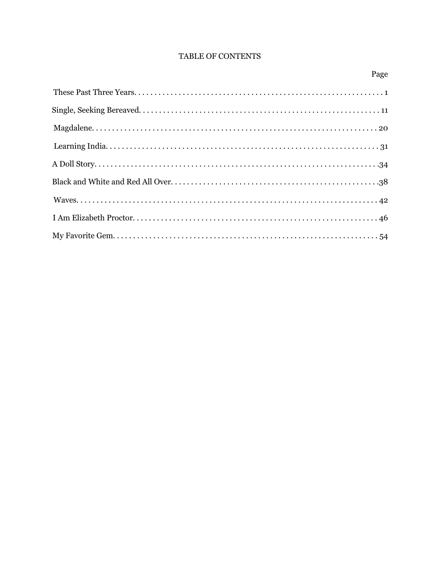## TABLE OF CONTENTS

| ×<br>٧ |
|--------|
|--------|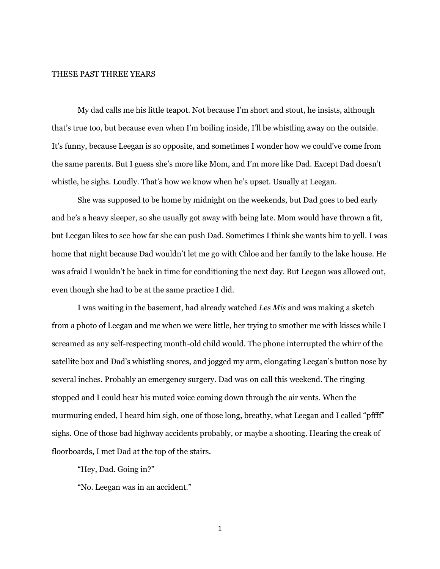#### THESE PAST THREE YEARS

My dad calls me his little teapot. Not because I'm short and stout, he insists, although that's true too, but because even when I'm boiling inside, I'll be whistling away on the outside. It's funny, because Leegan is so opposite, and sometimes I wonder how we could've come from the same parents. But I guess she's more like Mom, and I'm more like Dad. Except Dad doesn't whistle, he sighs. Loudly. That's how we know when he's upset. Usually at Leegan.

She was supposed to be home by midnight on the weekends, but Dad goes to bed early and he's a heavy sleeper, so she usually got away with being late. Mom would have thrown a fit, but Leegan likes to see how far she can push Dad. Sometimes I think she wants him to yell. I was home that night because Dad wouldn't let me go with Chloe and her family to the lake house. He was afraid I wouldn't be back in time for conditioning the next day. But Leegan was allowed out, even though she had to be at the same practice I did.

I was waiting in the basement, had already watched *Les Mis* and was making a sketch from a photo of Leegan and me when we were little, her trying to smother me with kisses while I screamed as any self-respecting month-old child would. The phone interrupted the whirr of the satellite box and Dad's whistling snores, and jogged my arm, elongating Leegan's button nose by several inches. Probably an emergency surgery. Dad was on call this weekend. The ringing stopped and I could hear his muted voice coming down through the air vents. When the murmuring ended, I heard him sigh, one of those long, breathy, what Leegan and I called "pffff" sighs. One of those bad highway accidents probably, or maybe a shooting. Hearing the creak of floorboards, I met Dad at the top of the stairs.

"Hey, Dad. Going in?"

"No. Leegan was in an accident."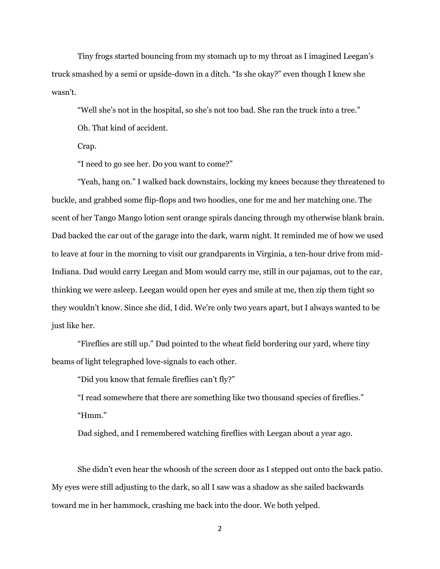Tiny frogs started bouncing from my stomach up to my throat as I imagined Leegan's truck smashed by a semi or upside-down in a ditch. "Is she okay?" even though I knew she wasn't.

"Well she's not in the hospital, so she's not too bad. She ran the truck into a tree." Oh. That kind of accident.

Crap.

"I need to go see her. Do you want to come?"

"Yeah, hang on." I walked back downstairs, locking my knees because they threatened to buckle, and grabbed some flip-flops and two hoodies, one for me and her matching one. The scent of her Tango Mango lotion sent orange spirals dancing through my otherwise blank brain. Dad backed the car out of the garage into the dark, warm night. It reminded me of how we used to leave at four in the morning to visit our grandparents in Virginia, a ten-hour drive from mid-Indiana. Dad would carry Leegan and Mom would carry me, still in our pajamas, out to the car, thinking we were asleep. Leegan would open her eyes and smile at me, then zip them tight so they wouldn't know. Since she did, I did. We're only two years apart, but I always wanted to be just like her.

"Fireflies are still up." Dad pointed to the wheat field bordering our yard, where tiny beams of light telegraphed love-signals to each other.

"Did you know that female fireflies can't fly?"

"I read somewhere that there are something like two thousand species of fireflies." "Hmm."

Dad sighed, and I remembered watching fireflies with Leegan about a year ago.

She didn't even hear the whoosh of the screen door as I stepped out onto the back patio. My eyes were still adjusting to the dark, so all I saw was a shadow as she sailed backwards toward me in her hammock, crashing me back into the door. We both yelped.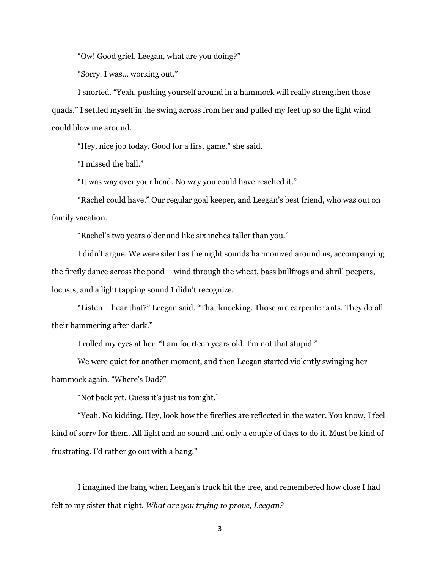"Ow! Good grief, Leegan, what are you doing?"

"Sorry. I was… working out."

I snorted. "Yeah, pushing yourself around in a hammock will really strengthen those quads." I settled myself in the swing across from her and pulled my feet up so the light wind could blow me around.

"Hey, nice job today. Good for a first game," she said.

"I missed the ball."

"It was way over your head. No way you could have reached it."

"Rachel could have." Our regular goal keeper, and Leegan's best friend, who was out on family vacation.

"Rachel's two years older and like six inches taller than you."

I didn't argue. We were silent as the night sounds harmonized around us, accompanying the firefly dance across the pond – wind through the wheat, bass bullfrogs and shrill peepers, locusts, and a light tapping sound I didn't recognize.

"Listen – hear that?" Leegan said. "That knocking. Those are carpenter ants. They do all their hammering after dark."

I rolled my eyes at her. "I am fourteen years old. I'm not that stupid."

We were quiet for another moment, and then Leegan started violently swinging her hammock again. "Where's Dad?"

"Not back yet. Guess it's just us tonight."

"Yeah. No kidding. Hey, look how the fireflies are reflected in the water. You know, I feel kind of sorry for them. All light and no sound and only a couple of days to do it. Must be kind of frustrating. I'd rather go out with a bang."

I imagined the bang when Leegan's truck hit the tree, and remembered how close I had felt to my sister that night. *What are you trying to prove, Leegan?*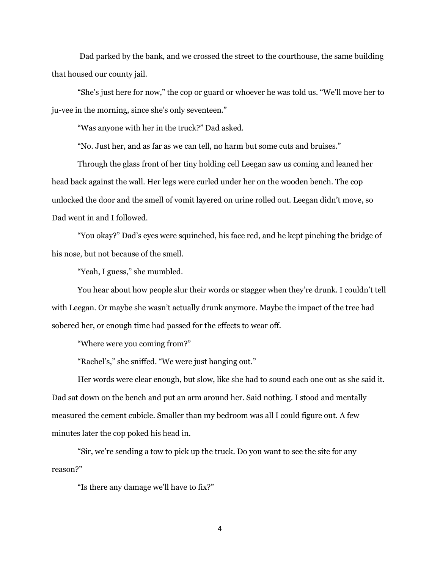Dad parked by the bank, and we crossed the street to the courthouse, the same building that housed our county jail.

"She's just here for now," the cop or guard or whoever he was told us. "We'll move her to ju-vee in the morning, since she's only seventeen."

"Was anyone with her in the truck?" Dad asked.

"No. Just her, and as far as we can tell, no harm but some cuts and bruises."

Through the glass front of her tiny holding cell Leegan saw us coming and leaned her head back against the wall. Her legs were curled under her on the wooden bench. The cop unlocked the door and the smell of vomit layered on urine rolled out. Leegan didn't move, so Dad went in and I followed.

"You okay?" Dad's eyes were squinched, his face red, and he kept pinching the bridge of his nose, but not because of the smell.

"Yeah, I guess," she mumbled.

You hear about how people slur their words or stagger when they're drunk. I couldn't tell with Leegan. Or maybe she wasn't actually drunk anymore. Maybe the impact of the tree had sobered her, or enough time had passed for the effects to wear off.

"Where were you coming from?"

"Rachel's," she sniffed. "We were just hanging out."

Her words were clear enough, but slow, like she had to sound each one out as she said it. Dad sat down on the bench and put an arm around her. Said nothing. I stood and mentally measured the cement cubicle. Smaller than my bedroom was all I could figure out. A few minutes later the cop poked his head in.

"Sir, we're sending a tow to pick up the truck. Do you want to see the site for any reason?"

"Is there any damage we'll have to fix?"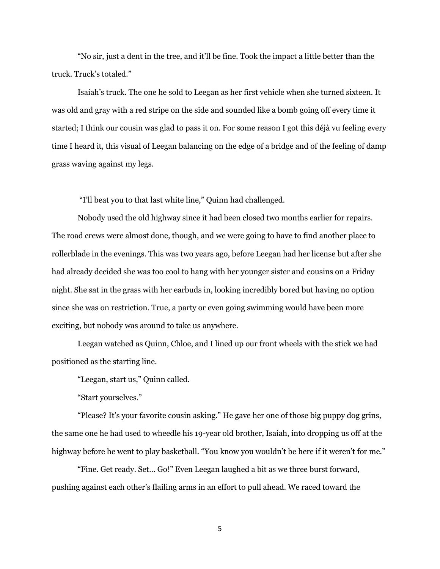"No sir, just a dent in the tree, and it'll be fine. Took the impact a little better than the truck. Truck's totaled."

Isaiah's truck. The one he sold to Leegan as her first vehicle when she turned sixteen. It was old and gray with a red stripe on the side and sounded like a bomb going off every time it started; I think our cousin was glad to pass it on. For some reason I got this déjà vu feeling every time I heard it, this visual of Leegan balancing on the edge of a bridge and of the feeling of damp grass waving against my legs.

"I'll beat you to that last white line," Quinn had challenged.

Nobody used the old highway since it had been closed two months earlier for repairs. The road crews were almost done, though, and we were going to have to find another place to rollerblade in the evenings. This was two years ago, before Leegan had her license but after she had already decided she was too cool to hang with her younger sister and cousins on a Friday night. She sat in the grass with her earbuds in, looking incredibly bored but having no option since she was on restriction. True, a party or even going swimming would have been more exciting, but nobody was around to take us anywhere.

Leegan watched as Quinn, Chloe, and I lined up our front wheels with the stick we had positioned as the starting line.

"Leegan, start us," Quinn called.

"Start yourselves."

"Please? It's your favorite cousin asking." He gave her one of those big puppy dog grins, the same one he had used to wheedle his 19-year old brother, Isaiah, into dropping us off at the highway before he went to play basketball. "You know you wouldn't be here if it weren't for me."

"Fine. Get ready. Set… Go!" Even Leegan laughed a bit as we three burst forward, pushing against each other's flailing arms in an effort to pull ahead. We raced toward the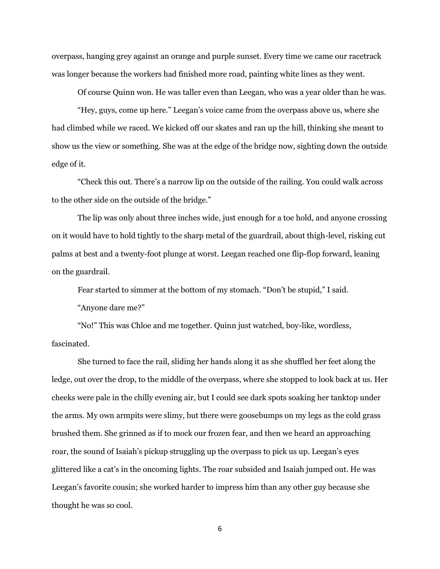overpass, hanging grey against an orange and purple sunset. Every time we came our racetrack was longer because the workers had finished more road, painting white lines as they went.

Of course Quinn won. He was taller even than Leegan, who was a year older than he was.

"Hey, guys, come up here." Leegan's voice came from the overpass above us, where she had climbed while we raced. We kicked off our skates and ran up the hill, thinking she meant to show us the view or something. She was at the edge of the bridge now, sighting down the outside edge of it.

"Check this out. There's a narrow lip on the outside of the railing. You could walk across to the other side on the outside of the bridge."

The lip was only about three inches wide, just enough for a toe hold, and anyone crossing on it would have to hold tightly to the sharp metal of the guardrail, about thigh-level, risking cut palms at best and a twenty-foot plunge at worst. Leegan reached one flip-flop forward, leaning on the guardrail.

Fear started to simmer at the bottom of my stomach. "Don't be stupid," I said.

"Anyone dare me?"

"No!" This was Chloe and me together. Quinn just watched, boy-like, wordless, fascinated.

She turned to face the rail, sliding her hands along it as she shuffled her feet along the ledge, out over the drop, to the middle of the overpass, where she stopped to look back at us. Her cheeks were pale in the chilly evening air, but I could see dark spots soaking her tanktop under the arms. My own armpits were slimy, but there were goosebumps on my legs as the cold grass brushed them. She grinned as if to mock our frozen fear, and then we heard an approaching roar, the sound of Isaiah's pickup struggling up the overpass to pick us up. Leegan's eyes glittered like a cat's in the oncoming lights. The roar subsided and Isaiah jumped out. He was Leegan's favorite cousin; she worked harder to impress him than any other guy because she thought he was so cool.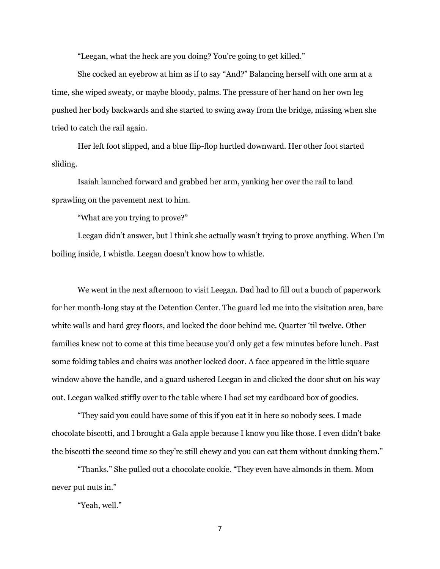"Leegan, what the heck are you doing? You're going to get killed."

She cocked an eyebrow at him as if to say "And?" Balancing herself with one arm at a time, she wiped sweaty, or maybe bloody, palms. The pressure of her hand on her own leg pushed her body backwards and she started to swing away from the bridge, missing when she tried to catch the rail again.

Her left foot slipped, and a blue flip-flop hurtled downward. Her other foot started sliding.

Isaiah launched forward and grabbed her arm, yanking her over the rail to land sprawling on the pavement next to him.

"What are you trying to prove?"

Leegan didn't answer, but I think she actually wasn't trying to prove anything. When I'm boiling inside, I whistle. Leegan doesn't know how to whistle.

We went in the next afternoon to visit Leegan. Dad had to fill out a bunch of paperwork for her month-long stay at the Detention Center. The guard led me into the visitation area, bare white walls and hard grey floors, and locked the door behind me. Quarter 'til twelve. Other families knew not to come at this time because you'd only get a few minutes before lunch. Past some folding tables and chairs was another locked door. A face appeared in the little square window above the handle, and a guard ushered Leegan in and clicked the door shut on his way out. Leegan walked stiffly over to the table where I had set my cardboard box of goodies.

"They said you could have some of this if you eat it in here so nobody sees. I made chocolate biscotti, and I brought a Gala apple because I know you like those. I even didn't bake the biscotti the second time so they're still chewy and you can eat them without dunking them."

"Thanks." She pulled out a chocolate cookie. "They even have almonds in them. Mom never put nuts in."

"Yeah, well."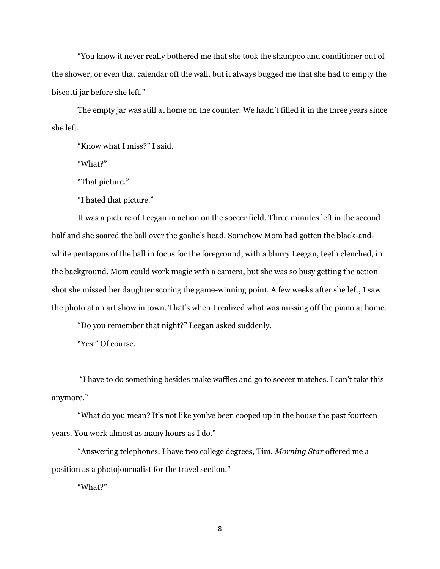"You know it never really bothered me that she took the shampoo and conditioner out of the shower, or even that calendar off the wall, but it always bugged me that she had to empty the biscotti jar before she left."

The empty jar was still at home on the counter. We hadn't filled it in the three years since she left.

"Know what I miss?" I said.

"What?"

"That picture."

"I hated that picture."

It was a picture of Leegan in action on the soccer field. Three minutes left in the second half and she soared the ball over the goalie's head. Somehow Mom had gotten the black-andwhite pentagons of the ball in focus for the foreground, with a blurry Leegan, teeth clenched, in the background. Mom could work magic with a camera, but she was so busy getting the action shot she missed her daughter scoring the game-winning point. A few weeks after she left, I saw the photo at an art show in town. That's when I realized what was missing off the piano at home.

"Do you remember that night?" Leegan asked suddenly.

"Yes." Of course.

"I have to do something besides make waffles and go to soccer matches. I can't take this anymore."

"What do you mean? It's not like you've been cooped up in the house the past fourteen years. You work almost as many hours as I do."

"Answering telephones. I have two college degrees, Tim. *Morning Star* offered me a position as a photojournalist for the travel section."

"What?"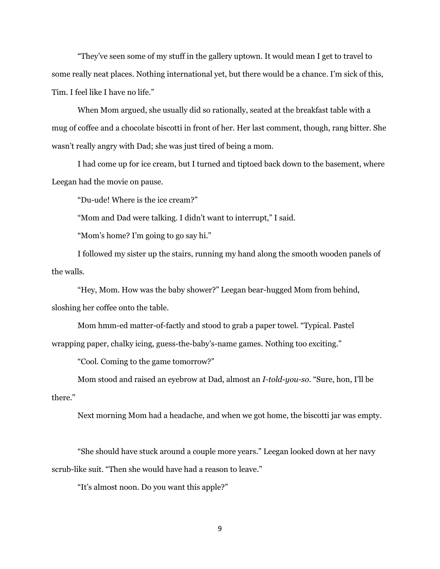"They've seen some of my stuff in the gallery uptown. It would mean I get to travel to some really neat places. Nothing international yet, but there would be a chance. I'm sick of this, Tim. I feel like I have no life."

When Mom argued, she usually did so rationally, seated at the breakfast table with a mug of coffee and a chocolate biscotti in front of her. Her last comment, though, rang bitter. She wasn't really angry with Dad; she was just tired of being a mom.

I had come up for ice cream, but I turned and tiptoed back down to the basement, where Leegan had the movie on pause.

"Du-ude! Where is the ice cream?"

"Mom and Dad were talking. I didn't want to interrupt," I said.

"Mom's home? I'm going to go say hi."

I followed my sister up the stairs, running my hand along the smooth wooden panels of the walls.

"Hey, Mom. How was the baby shower?" Leegan bear-hugged Mom from behind, sloshing her coffee onto the table.

Mom hmm-ed matter-of-factly and stood to grab a paper towel. "Typical. Pastel wrapping paper, chalky icing, guess-the-baby's-name games. Nothing too exciting."

"Cool. Coming to the game tomorrow?"

Mom stood and raised an eyebrow at Dad, almost an *I-told-you-so*. "Sure, hon, I'll be there."

Next morning Mom had a headache, and when we got home, the biscotti jar was empty.

"She should have stuck around a couple more years." Leegan looked down at her navy scrub-like suit. "Then she would have had a reason to leave."

"It's almost noon. Do you want this apple?"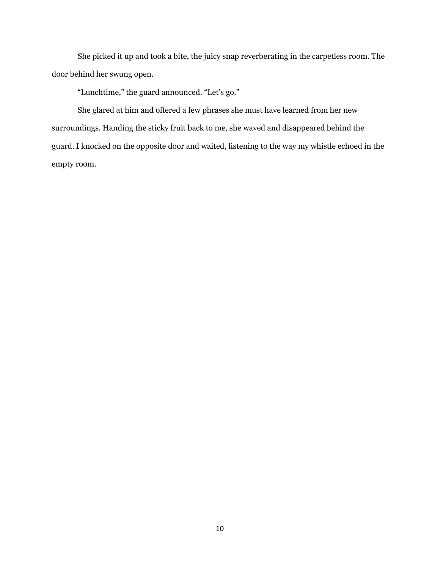She picked it up and took a bite, the juicy snap reverberating in the carpetless room. The door behind her swung open.

"Lunchtime," the guard announced. "Let's go."

She glared at him and offered a few phrases she must have learned from her new surroundings. Handing the sticky fruit back to me, she waved and disappeared behind the guard. I knocked on the opposite door and waited, listening to the way my whistle echoed in the empty room.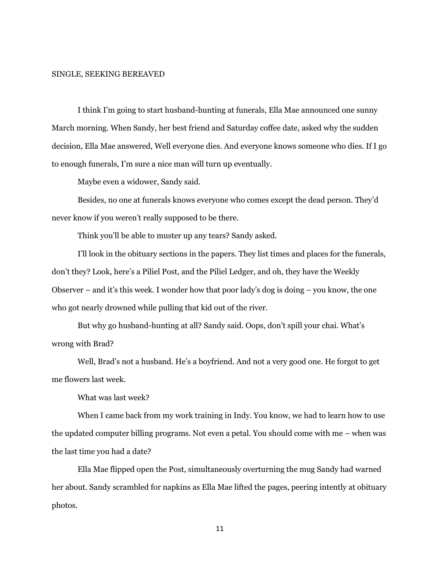#### SINGLE, SEEKING BEREAVED

I think I'm going to start husband-hunting at funerals, Ella Mae announced one sunny March morning. When Sandy, her best friend and Saturday coffee date, asked why the sudden decision, Ella Mae answered, Well everyone dies. And everyone knows someone who dies. If I go to enough funerals, I'm sure a nice man will turn up eventually.

Maybe even a widower, Sandy said.

Besides, no one at funerals knows everyone who comes except the dead person. They'd never know if you weren't really supposed to be there.

Think you'll be able to muster up any tears? Sandy asked.

I'll look in the obituary sections in the papers. They list times and places for the funerals, don't they? Look, here's a Piliel Post, and the Piliel Ledger, and oh, they have the Weekly Observer – and it's this week. I wonder how that poor lady's dog is doing – you know, the one who got nearly drowned while pulling that kid out of the river.

But why go husband-hunting at all? Sandy said. Oops, don't spill your chai. What's wrong with Brad?

Well, Brad's not a husband. He's a boyfriend. And not a very good one. He forgot to get me flowers last week.

What was last week?

When I came back from my work training in Indy. You know, we had to learn how to use the updated computer billing programs. Not even a petal. You should come with me – when was the last time you had a date?

Ella Mae flipped open the Post, simultaneously overturning the mug Sandy had warned her about. Sandy scrambled for napkins as Ella Mae lifted the pages, peering intently at obituary photos.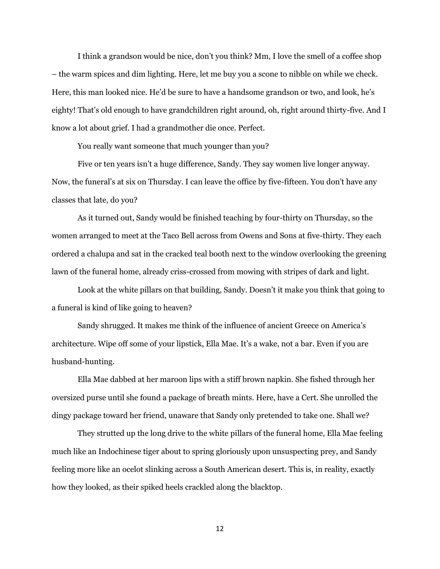I think a grandson would be nice, don't you think? Mm, I love the smell of a coffee shop – the warm spices and dim lighting. Here, let me buy you a scone to nibble on while we check. Here, this man looked nice. He'd be sure to have a handsome grandson or two, and look, he's eighty! That's old enough to have grandchildren right around, oh, right around thirty-five. And I know a lot about grief. I had a grandmother die once. Perfect.

You really want someone that much younger than you?

Five or ten years isn't a huge difference, Sandy. They say women live longer anyway. Now, the funeral's at six on Thursday. I can leave the office by five-fifteen. You don't have any classes that late, do you?

As it turned out, Sandy would be finished teaching by four-thirty on Thursday, so the women arranged to meet at the Taco Bell across from Owens and Sons at five-thirty. They each ordered a chalupa and sat in the cracked teal booth next to the window overlooking the greening lawn of the funeral home, already criss-crossed from mowing with stripes of dark and light.

Look at the white pillars on that building, Sandy. Doesn't it make you think that going to a funeral is kind of like going to heaven?

Sandy shrugged. It makes me think of the influence of ancient Greece on America's architecture. Wipe off some of your lipstick, Ella Mae. It's a wake, not a bar. Even if you are husband-hunting.

Ella Mae dabbed at her maroon lips with a stiff brown napkin. She fished through her oversized purse until she found a package of breath mints. Here, have a Cert. She unrolled the dingy package toward her friend, unaware that Sandy only pretended to take one. Shall we?

They strutted up the long drive to the white pillars of the funeral home, Ella Mae feeling much like an Indochinese tiger about to spring gloriously upon unsuspecting prey, and Sandy feeling more like an ocelot slinking across a South American desert. This is, in reality, exactly how they looked, as their spiked heels crackled along the blacktop.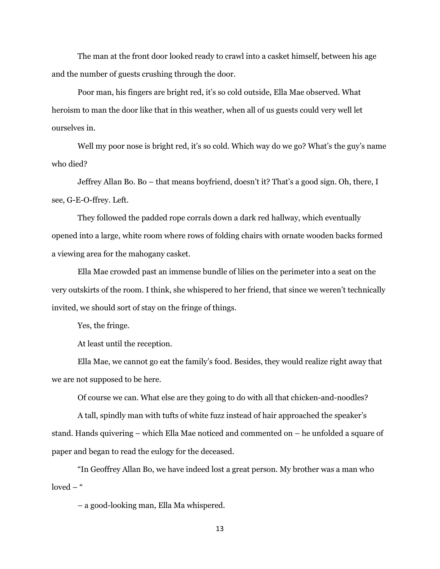The man at the front door looked ready to crawl into a casket himself, between his age and the number of guests crushing through the door.

Poor man, his fingers are bright red, it's so cold outside, Ella Mae observed. What heroism to man the door like that in this weather, when all of us guests could very well let ourselves in.

Well my poor nose is bright red, it's so cold. Which way do we go? What's the guy's name who died?

Jeffrey Allan Bo. Bo – that means boyfriend, doesn't it? That's a good sign. Oh, there, I see, G-E-O-ffrey. Left.

They followed the padded rope corrals down a dark red hallway, which eventually opened into a large, white room where rows of folding chairs with ornate wooden backs formed a viewing area for the mahogany casket.

Ella Mae crowded past an immense bundle of lilies on the perimeter into a seat on the very outskirts of the room. I think, she whispered to her friend, that since we weren't technically invited, we should sort of stay on the fringe of things.

Yes, the fringe.

At least until the reception.

Ella Mae, we cannot go eat the family's food. Besides, they would realize right away that we are not supposed to be here.

Of course we can. What else are they going to do with all that chicken-and-noodles?

A tall, spindly man with tufts of white fuzz instead of hair approached the speaker's stand. Hands quivering – which Ella Mae noticed and commented on – he unfolded a square of paper and began to read the eulogy for the deceased.

"In Geoffrey Allan Bo, we have indeed lost a great person. My brother was a man who loved  $-$  "

– a good-looking man, Ella Ma whispered.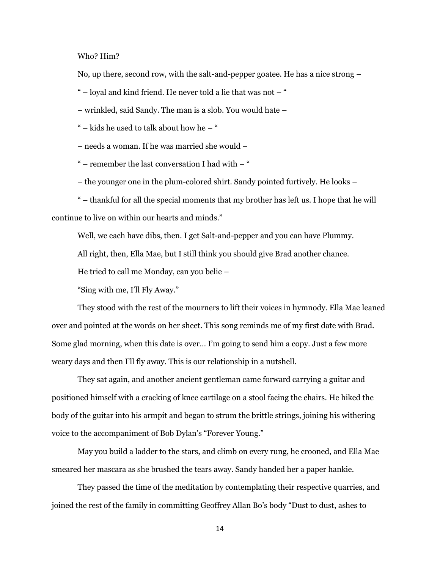Who? Him?

No, up there, second row, with the salt-and-pepper goatee. He has a nice strong –

" – loyal and kind friend. He never told a lie that was not – "

– wrinkled, said Sandy. The man is a slob. You would hate –

" – kids he used to talk about how he – "

– needs a woman. If he was married she would –

" – remember the last conversation I had with – "

– the younger one in the plum-colored shirt. Sandy pointed furtively. He looks –

" – thankful for all the special moments that my brother has left us. I hope that he will continue to live on within our hearts and minds."

Well, we each have dibs, then. I get Salt-and-pepper and you can have Plummy.

All right, then, Ella Mae, but I still think you should give Brad another chance.

He tried to call me Monday, can you belie –

"Sing with me, I'll Fly Away."

They stood with the rest of the mourners to lift their voices in hymnody. Ella Mae leaned over and pointed at the words on her sheet. This song reminds me of my first date with Brad. Some glad morning, when this date is over… I'm going to send him a copy. Just a few more weary days and then I'll fly away. This is our relationship in a nutshell.

They sat again, and another ancient gentleman came forward carrying a guitar and positioned himself with a cracking of knee cartilage on a stool facing the chairs. He hiked the body of the guitar into his armpit and began to strum the brittle strings, joining his withering voice to the accompaniment of Bob Dylan's "Forever Young."

May you build a ladder to the stars, and climb on every rung, he crooned, and Ella Mae smeared her mascara as she brushed the tears away. Sandy handed her a paper hankie.

They passed the time of the meditation by contemplating their respective quarries, and joined the rest of the family in committing Geoffrey Allan Bo's body "Dust to dust, ashes to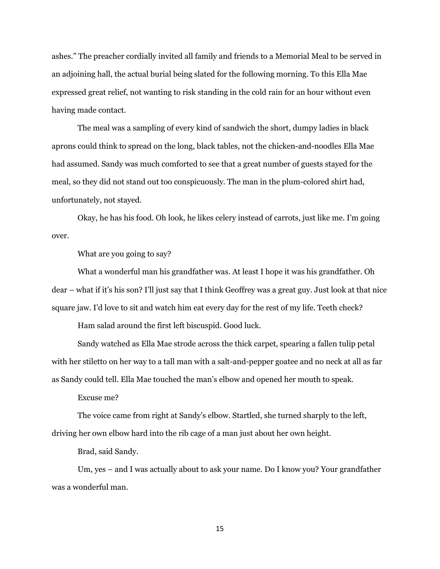ashes." The preacher cordially invited all family and friends to a Memorial Meal to be served in an adjoining hall, the actual burial being slated for the following morning. To this Ella Mae expressed great relief, not wanting to risk standing in the cold rain for an hour without even having made contact.

The meal was a sampling of every kind of sandwich the short, dumpy ladies in black aprons could think to spread on the long, black tables, not the chicken-and-noodles Ella Mae had assumed. Sandy was much comforted to see that a great number of guests stayed for the meal, so they did not stand out too conspicuously. The man in the plum-colored shirt had, unfortunately, not stayed.

Okay, he has his food. Oh look, he likes celery instead of carrots, just like me. I'm going over.

What are you going to say?

What a wonderful man his grandfather was. At least I hope it was his grandfather. Oh dear – what if it's his son? I'll just say that I think Geoffrey was a great guy. Just look at that nice square jaw. I'd love to sit and watch him eat every day for the rest of my life. Teeth check?

Ham salad around the first left biscuspid. Good luck.

Sandy watched as Ella Mae strode across the thick carpet, spearing a fallen tulip petal with her stiletto on her way to a tall man with a salt-and-pepper goatee and no neck at all as far as Sandy could tell. Ella Mae touched the man's elbow and opened her mouth to speak.

Excuse me?

The voice came from right at Sandy's elbow. Startled, she turned sharply to the left, driving her own elbow hard into the rib cage of a man just about her own height.

Brad, said Sandy.

Um, yes – and I was actually about to ask your name. Do I know you? Your grandfather was a wonderful man.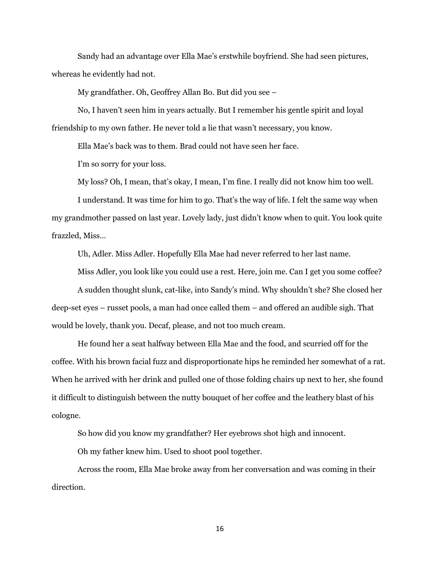Sandy had an advantage over Ella Mae's erstwhile boyfriend. She had seen pictures, whereas he evidently had not.

My grandfather. Oh, Geoffrey Allan Bo. But did you see –

No, I haven't seen him in years actually. But I remember his gentle spirit and loyal friendship to my own father. He never told a lie that wasn't necessary, you know.

Ella Mae's back was to them. Brad could not have seen her face.

I'm so sorry for your loss.

My loss? Oh, I mean, that's okay, I mean, I'm fine. I really did not know him too well.

I understand. It was time for him to go. That's the way of life. I felt the same way when my grandmother passed on last year. Lovely lady, just didn't know when to quit. You look quite frazzled, Miss…

Uh, Adler. Miss Adler. Hopefully Ella Mae had never referred to her last name.

Miss Adler, you look like you could use a rest. Here, join me. Can I get you some coffee?

A sudden thought slunk, cat-like, into Sandy's mind. Why shouldn't she? She closed her deep-set eyes – russet pools, a man had once called them – and offered an audible sigh. That would be lovely, thank you. Decaf, please, and not too much cream.

He found her a seat halfway between Ella Mae and the food, and scurried off for the coffee. With his brown facial fuzz and disproportionate hips he reminded her somewhat of a rat. When he arrived with her drink and pulled one of those folding chairs up next to her, she found it difficult to distinguish between the nutty bouquet of her coffee and the leathery blast of his cologne.

So how did you know my grandfather? Her eyebrows shot high and innocent.

Oh my father knew him. Used to shoot pool together.

Across the room, Ella Mae broke away from her conversation and was coming in their direction.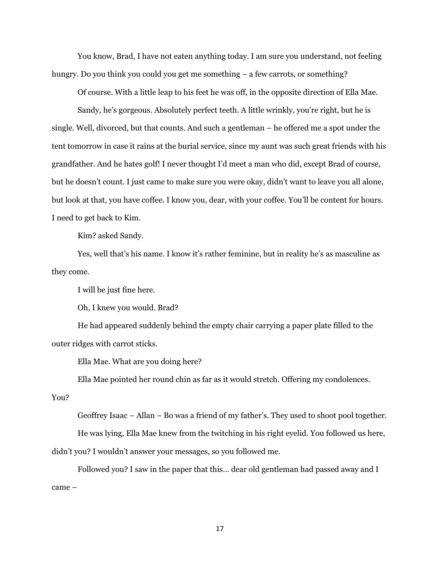You know, Brad, I have not eaten anything today. I am sure you understand, not feeling hungry. Do you think you could you get me something – a few carrots, or something?

Of course. With a little leap to his feet he was off, in the opposite direction of Ella Mae.

Sandy, he's gorgeous. Absolutely perfect teeth. A little wrinkly, you're right, but he is single. Well, divorced, but that counts. And such a gentleman – he offered me a spot under the tent tomorrow in case it rains at the burial service, since my aunt was such great friends with his grandfather. And he hates golf! I never thought I'd meet a man who did, except Brad of course, but he doesn't count. I just came to make sure you were okay, didn't want to leave you all alone, but look at that, you have coffee. I know you, dear, with your coffee. You'll be content for hours. I need to get back to Kim.

Kim? asked Sandy.

Yes, well that's his name. I know it's rather feminine, but in reality he's as masculine as they come.

I will be just fine here.

Oh, I knew you would. Brad?

He had appeared suddenly behind the empty chair carrying a paper plate filled to the outer ridges with carrot sticks.

Ella Mae. What are you doing here?

Ella Mae pointed her round chin as far as it would stretch. Offering my condolences.

You?

Geoffrey Isaac – Allan – Bo was a friend of my father's. They used to shoot pool together.

He was lying, Ella Mae knew from the twitching in his right eyelid. You followed us here,

didn't you? I wouldn't answer your messages, so you followed me.

Followed you? I saw in the paper that this… dear old gentleman had passed away and I came –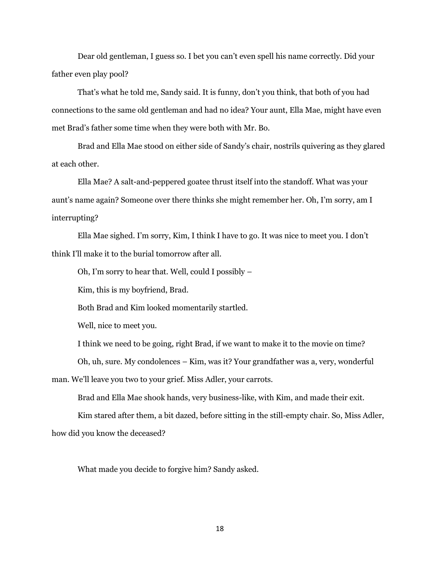Dear old gentleman, I guess so. I bet you can't even spell his name correctly. Did your father even play pool?

That's what he told me, Sandy said. It is funny, don't you think, that both of you had connections to the same old gentleman and had no idea? Your aunt, Ella Mae, might have even met Brad's father some time when they were both with Mr. Bo.

Brad and Ella Mae stood on either side of Sandy's chair, nostrils quivering as they glared at each other.

Ella Mae? A salt-and-peppered goatee thrust itself into the standoff. What was your aunt's name again? Someone over there thinks she might remember her. Oh, I'm sorry, am I interrupting?

Ella Mae sighed. I'm sorry, Kim, I think I have to go. It was nice to meet you. I don't think I'll make it to the burial tomorrow after all.

Oh, I'm sorry to hear that. Well, could I possibly –

Kim, this is my boyfriend, Brad.

Both Brad and Kim looked momentarily startled.

Well, nice to meet you.

I think we need to be going, right Brad, if we want to make it to the movie on time?

Oh, uh, sure. My condolences – Kim, was it? Your grandfather was a, very, wonderful

man. We'll leave you two to your grief. Miss Adler, your carrots.

Brad and Ella Mae shook hands, very business-like, with Kim, and made their exit.

Kim stared after them, a bit dazed, before sitting in the still-empty chair. So, Miss Adler,

how did you know the deceased?

What made you decide to forgive him? Sandy asked.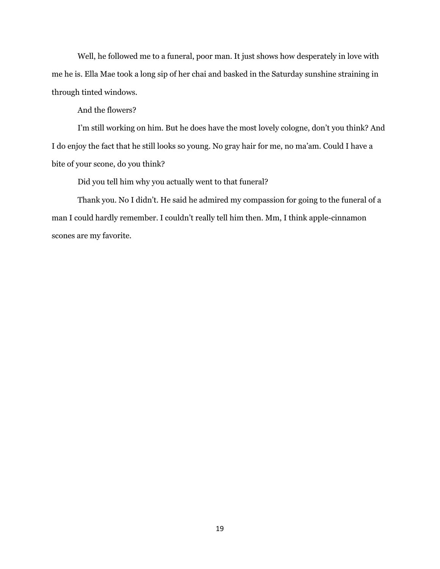Well, he followed me to a funeral, poor man. It just shows how desperately in love with me he is. Ella Mae took a long sip of her chai and basked in the Saturday sunshine straining in through tinted windows.

And the flowers?

I'm still working on him. But he does have the most lovely cologne, don't you think? And I do enjoy the fact that he still looks so young. No gray hair for me, no ma'am. Could I have a bite of your scone, do you think?

Did you tell him why you actually went to that funeral?

Thank you. No I didn't. He said he admired my compassion for going to the funeral of a man I could hardly remember. I couldn't really tell him then. Mm, I think apple-cinnamon scones are my favorite.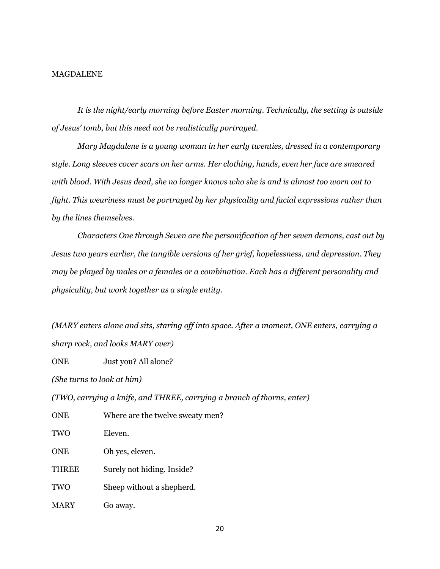#### MAGDALENE

*It is the night/early morning before Easter morning. Technically, the setting is outside of Jesus' tomb, but this need not be realistically portrayed.*

*Mary Magdalene is a young woman in her early twenties, dressed in a contemporary style. Long sleeves cover scars on her arms. Her clothing, hands, even her face are smeared with blood. With Jesus dead, she no longer knows who she is and is almost too worn out to fight. This weariness must be portrayed by her physicality and facial expressions rather than by the lines themselves.*

*Characters One through Seven are the personification of her seven demons, cast out by Jesus two years earlier, the tangible versions of her grief, hopelessness, and depression. They may be played by males or a females or a combination. Each has a different personality and physicality, but work together as a single entity.*

*(MARY enters alone and sits, staring off into space. After a moment, ONE enters, carrying a sharp rock, and looks MARY over)*

ONE Just you? All alone?

*(She turns to look at him)*

*(TWO, carrying a knife, and THREE, carrying a branch of thorns, enter)*

| <b>ONE</b>   | Where are the twelve sweaty men? |
|--------------|----------------------------------|
| TWO          | Eleven.                          |
| <b>ONE</b>   | Oh yes, eleven.                  |
| <b>THREE</b> | Surely not hiding. Inside?       |
| TWO          | Sheep without a shepherd.        |
| <b>MARY</b>  | Go away.                         |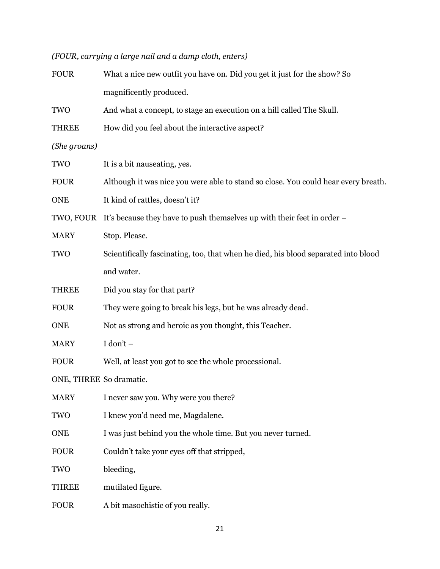## *(FOUR, carrying a large nail and a damp cloth, enters)*

| <b>FOUR</b>             | What a nice new outfit you have on. Did you get it just for the show? So           |  |
|-------------------------|------------------------------------------------------------------------------------|--|
|                         | magnificently produced.                                                            |  |
| TWO                     | And what a concept, to stage an execution on a hill called The Skull.              |  |
| <b>THREE</b>            | How did you feel about the interactive aspect?                                     |  |
| (She groans)            |                                                                                    |  |
| TWO                     | It is a bit nauseating, yes.                                                       |  |
| <b>FOUR</b>             | Although it was nice you were able to stand so close. You could hear every breath. |  |
| <b>ONE</b>              | It kind of rattles, doesn't it?                                                    |  |
|                         | TWO, FOUR It's because they have to push themselves up with their feet in order –  |  |
| <b>MARY</b>             | Stop. Please.                                                                      |  |
| <b>TWO</b>              | Scientifically fascinating, too, that when he died, his blood separated into blood |  |
|                         | and water.                                                                         |  |
| <b>THREE</b>            | Did you stay for that part?                                                        |  |
| <b>FOUR</b>             | They were going to break his legs, but he was already dead.                        |  |
| <b>ONE</b>              | Not as strong and heroic as you thought, this Teacher.                             |  |
| <b>MARY</b>             | $I don't -$                                                                        |  |
| <b>FOUR</b>             | Well, at least you got to see the whole processional.                              |  |
| ONE, THREE So dramatic. |                                                                                    |  |
| <b>MARY</b>             | I never saw you. Why were you there?                                               |  |
| TWO                     | I knew you'd need me, Magdalene.                                                   |  |
| <b>ONE</b>              | I was just behind you the whole time. But you never turned.                        |  |
| <b>FOUR</b>             | Couldn't take your eyes off that stripped,                                         |  |
| TWO                     | bleeding,                                                                          |  |
| <b>THREE</b>            | mutilated figure.                                                                  |  |
| <b>FOUR</b>             | A bit masochistic of you really.                                                   |  |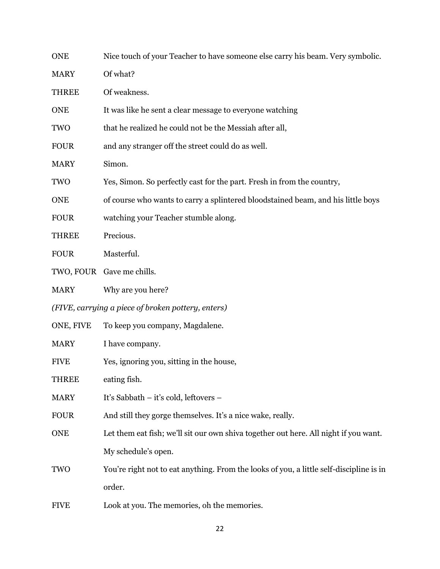| <b>ONE</b>                                         | Nice touch of your Teacher to have someone else carry his beam. Very symbolic.          |
|----------------------------------------------------|-----------------------------------------------------------------------------------------|
| <b>MARY</b>                                        | Of what?                                                                                |
| <b>THREE</b>                                       | Of weakness.                                                                            |
| <b>ONE</b>                                         | It was like he sent a clear message to everyone watching                                |
| TWO                                                | that he realized he could not be the Messiah after all,                                 |
| <b>FOUR</b>                                        | and any stranger off the street could do as well.                                       |
| <b>MARY</b>                                        | Simon.                                                                                  |
| TWO                                                | Yes, Simon. So perfectly cast for the part. Fresh in from the country,                  |
| <b>ONE</b>                                         | of course who wants to carry a splintered bloodstained beam, and his little boys        |
| <b>FOUR</b>                                        | watching your Teacher stumble along.                                                    |
| <b>THREE</b>                                       | Precious.                                                                               |
| <b>FOUR</b>                                        | Masterful.                                                                              |
|                                                    | TWO, FOUR Gave me chills.                                                               |
| <b>MARY</b>                                        | Why are you here?                                                                       |
| (FIVE, carrying a piece of broken pottery, enters) |                                                                                         |
| ONE, FIVE                                          | To keep you company, Magdalene.                                                         |
| <b>MARY</b>                                        | I have company.                                                                         |
| <b>FIVE</b>                                        | Yes, ignoring you, sitting in the house,                                                |
| <b>THREE</b>                                       | eating fish.                                                                            |
| <b>MARY</b>                                        | It's Sabbath – it's cold, leftovers –                                                   |
| <b>FOUR</b>                                        | And still they gorge themselves. It's a nice wake, really.                              |
| <b>ONE</b>                                         | Let them eat fish; we'll sit our own shiva together out here. All night if you want.    |
|                                                    | My schedule's open.                                                                     |
| <b>TWO</b>                                         | You're right not to eat anything. From the looks of you, a little self-discipline is in |
|                                                    | order.                                                                                  |
| <b>FIVE</b>                                        | Look at you. The memories, oh the memories.                                             |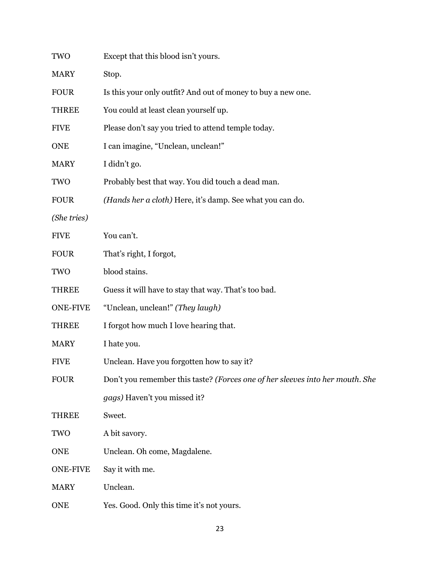| TWO             | Except that this blood isn't yours.                                           |
|-----------------|-------------------------------------------------------------------------------|
| <b>MARY</b>     | Stop.                                                                         |
| <b>FOUR</b>     | Is this your only outfit? And out of money to buy a new one.                  |
| THREE           | You could at least clean yourself up.                                         |
| <b>FIVE</b>     | Please don't say you tried to attend temple today.                            |
| <b>ONE</b>      | I can imagine, "Unclean, unclean!"                                            |
| <b>MARY</b>     | I didn't go.                                                                  |
| TWO             | Probably best that way. You did touch a dead man.                             |
| <b>FOUR</b>     | (Hands her a cloth) Here, it's damp. See what you can do.                     |
| (She tries)     |                                                                               |
| <b>FIVE</b>     | You can't.                                                                    |
| <b>FOUR</b>     | That's right, I forgot,                                                       |
| TWO             | blood stains.                                                                 |
| <b>THREE</b>    | Guess it will have to stay that way. That's too bad.                          |
| <b>ONE-FIVE</b> | "Unclean, unclean!" (They laugh)                                              |
| <b>THREE</b>    | I forgot how much I love hearing that.                                        |
| <b>MARY</b>     | I hate you.                                                                   |
| <b>FIVE</b>     | Unclean. Have you forgotten how to say it?                                    |
| <b>FOUR</b>     | Don't you remember this taste? (Forces one of her sleeves into her mouth. She |
|                 | gags) Haven't you missed it?                                                  |
| THREE           | Sweet.                                                                        |
| TWO             | A bit savory.                                                                 |
| <b>ONE</b>      | Unclean. Oh come, Magdalene.                                                  |
| <b>ONE-FIVE</b> | Say it with me.                                                               |
| <b>MARY</b>     | Unclean.                                                                      |
| <b>ONE</b>      | Yes. Good. Only this time it's not yours.                                     |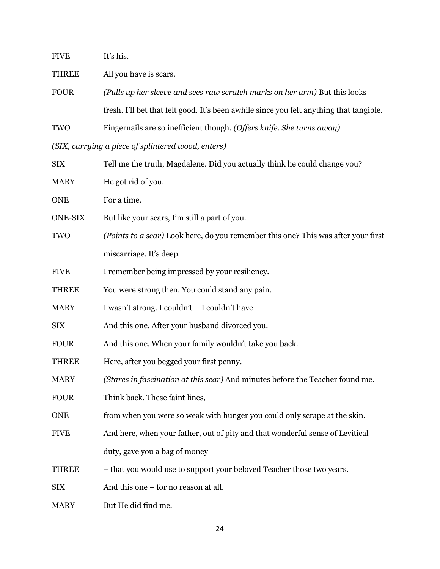| <b>FIVE</b>    | It's his.                                                                               |
|----------------|-----------------------------------------------------------------------------------------|
| <b>THREE</b>   | All you have is scars.                                                                  |
| <b>FOUR</b>    | (Pulls up her sleeve and sees raw scratch marks on her arm) But this looks              |
|                | fresh. I'll bet that felt good. It's been awhile since you felt anything that tangible. |
| TWO            | Fingernails are so inefficient though. (Offers knife. She turns away)                   |
|                | (SIX, carrying a piece of splintered wood, enters)                                      |
| <b>SIX</b>     | Tell me the truth, Magdalene. Did you actually think he could change you?               |
| <b>MARY</b>    | He got rid of you.                                                                      |
| <b>ONE</b>     | For a time.                                                                             |
| <b>ONE-SIX</b> | But like your scars, I'm still a part of you.                                           |
| TWO            | (Points to a scar) Look here, do you remember this one? This was after your first       |
|                | miscarriage. It's deep.                                                                 |
| <b>FIVE</b>    | I remember being impressed by your resiliency.                                          |
| <b>THREE</b>   | You were strong then. You could stand any pain.                                         |
| <b>MARY</b>    | I wasn't strong. I couldn't - I couldn't have -                                         |
| <b>SIX</b>     | And this one. After your husband divorced you.                                          |
| <b>FOUR</b>    | And this one. When your family wouldn't take you back.                                  |
| <b>THREE</b>   | Here, after you begged your first penny.                                                |
| <b>MARY</b>    | (Stares in fascination at this scar) And minutes before the Teacher found me.           |
| <b>FOUR</b>    | Think back. These faint lines,                                                          |
| <b>ONE</b>     | from when you were so weak with hunger you could only scrape at the skin.               |
| <b>FIVE</b>    | And here, when your father, out of pity and that wonderful sense of Levitical           |
|                | duty, gave you a bag of money                                                           |
| <b>THREE</b>   | - that you would use to support your beloved Teacher those two years.                   |
| <b>SIX</b>     | And this one – for no reason at all.                                                    |
| <b>MARY</b>    | But He did find me.                                                                     |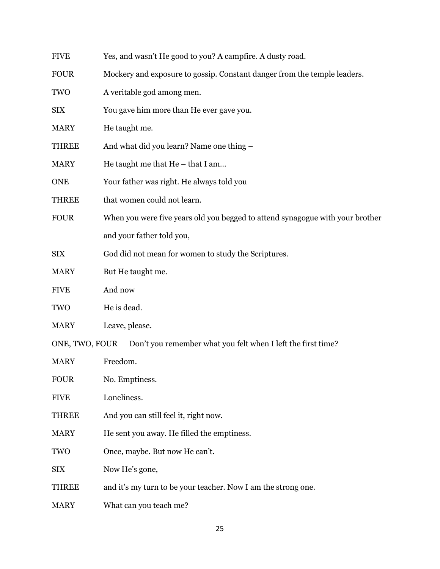| <b>FIVE</b>    | Yes, and wasn't He good to you? A campfire. A dusty road.                     |
|----------------|-------------------------------------------------------------------------------|
| <b>FOUR</b>    | Mockery and exposure to gossip. Constant danger from the temple leaders.      |
| TWO            | A veritable god among men.                                                    |
| <b>SIX</b>     | You gave him more than He ever gave you.                                      |
| <b>MARY</b>    | He taught me.                                                                 |
| <b>THREE</b>   | And what did you learn? Name one thing -                                      |
| <b>MARY</b>    | He taught me that He - that I am                                              |
| <b>ONE</b>     | Your father was right. He always told you                                     |
| <b>THREE</b>   | that women could not learn.                                                   |
| <b>FOUR</b>    | When you were five years old you begged to attend synagogue with your brother |
|                | and your father told you,                                                     |
| <b>SIX</b>     | God did not mean for women to study the Scriptures.                           |
| <b>MARY</b>    | But He taught me.                                                             |
| <b>FIVE</b>    | And now                                                                       |
| TWO            | He is dead.                                                                   |
| <b>MARY</b>    | Leave, please.                                                                |
| ONE, TWO, FOUR | Don't you remember what you felt when I left the first time?                  |
| <b>MARY</b>    | Freedom.                                                                      |
| <b>FOUR</b>    | No. Emptiness.                                                                |
| <b>FIVE</b>    | Loneliness.                                                                   |
| <b>THREE</b>   | And you can still feel it, right now.                                         |
| <b>MARY</b>    | He sent you away. He filled the emptiness.                                    |
| <b>TWO</b>     | Once, maybe. But now He can't.                                                |
| <b>SIX</b>     | Now He's gone,                                                                |
| THREE          | and it's my turn to be your teacher. Now I am the strong one.                 |

MARY What can you teach me?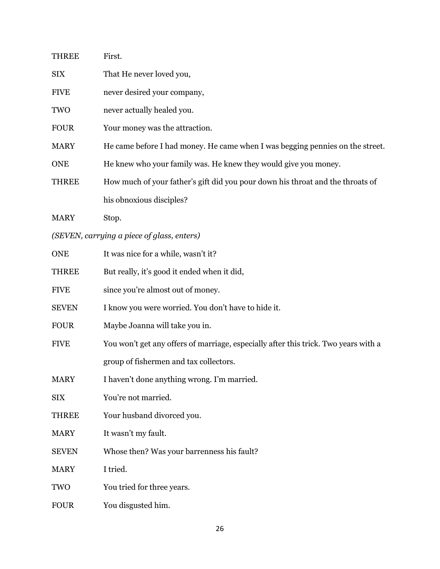| <b>THREE</b> | First.                                                                              |
|--------------|-------------------------------------------------------------------------------------|
| <b>SIX</b>   | That He never loved you,                                                            |
| <b>FIVE</b>  | never desired your company,                                                         |
| TWO          | never actually healed you.                                                          |
| <b>FOUR</b>  | Your money was the attraction.                                                      |
| <b>MARY</b>  | He came before I had money. He came when I was begging pennies on the street.       |
| <b>ONE</b>   | He knew who your family was. He knew they would give you money.                     |
| <b>THREE</b> | How much of your father's gift did you pour down his throat and the throats of      |
|              | his obnoxious disciples?                                                            |
| <b>MARY</b>  | Stop.                                                                               |
|              | (SEVEN, carrying a piece of glass, enters)                                          |
| <b>ONE</b>   | It was nice for a while, wasn't it?                                                 |
| <b>THREE</b> | But really, it's good it ended when it did,                                         |
| <b>FIVE</b>  | since you're almost out of money.                                                   |
| <b>SEVEN</b> | I know you were worried. You don't have to hide it.                                 |
| <b>FOUR</b>  | Maybe Joanna will take you in.                                                      |
| <b>FIVE</b>  | You won't get any offers of marriage, especially after this trick. Two years with a |
|              | group of fishermen and tax collectors.                                              |
| <b>MARY</b>  | I haven't done anything wrong. I'm married.                                         |
| <b>SIX</b>   | You're not married.                                                                 |
| <b>THREE</b> | Your husband divorced you.                                                          |
| <b>MARY</b>  | It wasn't my fault.                                                                 |
| <b>SEVEN</b> | Whose then? Was your barrenness his fault?                                          |
| <b>MARY</b>  | I tried.                                                                            |
| TWO          | You tried for three years.                                                          |
| <b>FOUR</b>  | You disgusted him.                                                                  |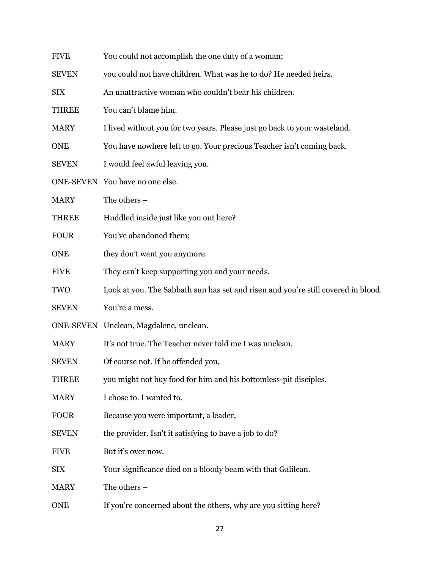| <b>FIVE</b>  | You could not accomplish the one duty of a woman;                                 |
|--------------|-----------------------------------------------------------------------------------|
| <b>SEVEN</b> | you could not have children. What was he to do? He needed heirs.                  |
| <b>SIX</b>   | An unattractive woman who couldn't bear his children.                             |
| <b>THREE</b> | You can't blame him.                                                              |
| <b>MARY</b>  | I lived without you for two years. Please just go back to your wasteland.         |
| <b>ONE</b>   | You have nowhere left to go. Your precious Teacher isn't coming back.             |
| <b>SEVEN</b> | I would feel awful leaving you.                                                   |
|              | ONE-SEVEN You have no one else.                                                   |
| <b>MARY</b>  | The others $-$                                                                    |
| <b>THREE</b> | Huddled inside just like you out here?                                            |
| <b>FOUR</b>  | You've abandoned them;                                                            |
| <b>ONE</b>   | they don't want you anymore.                                                      |
| <b>FIVE</b>  | They can't keep supporting you and your needs.                                    |
| <b>TWO</b>   | Look at you. The Sabbath sun has set and risen and you're still covered in blood. |
| <b>SEVEN</b> | You're a mess.                                                                    |
|              | ONE-SEVEN Unclean, Magdalene, unclean.                                            |
| <b>MARY</b>  | It's not true. The Teacher never told me I was unclean.                           |
| <b>SEVEN</b> | Of course not. If he offended you,                                                |
| <b>THREE</b> | you might not buy food for him and his bottomless-pit disciples.                  |
| <b>MARY</b>  | I chose to. I wanted to.                                                          |
| <b>FOUR</b>  | Because you were important, a leader,                                             |
| <b>SEVEN</b> | the provider. Isn't it satisfying to have a job to do?                            |
| <b>FIVE</b>  | But it's over now.                                                                |
| <b>SIX</b>   | Your significance died on a bloody beam with that Galilean.                       |
| <b>MARY</b>  | The others -                                                                      |
| <b>ONE</b>   | If you're concerned about the others, why are you sitting here?                   |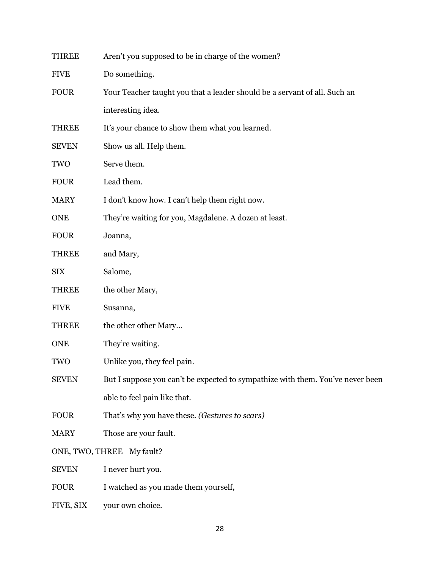| THREE                     | Aren't you supposed to be in charge of the women?                              |
|---------------------------|--------------------------------------------------------------------------------|
| <b>FIVE</b>               | Do something.                                                                  |
| <b>FOUR</b>               | Your Teacher taught you that a leader should be a servant of all. Such an      |
|                           | interesting idea.                                                              |
| <b>THREE</b>              | It's your chance to show them what you learned.                                |
| <b>SEVEN</b>              | Show us all. Help them.                                                        |
| TWO                       | Serve them.                                                                    |
| <b>FOUR</b>               | Lead them.                                                                     |
| <b>MARY</b>               | I don't know how. I can't help them right now.                                 |
| <b>ONE</b>                | They're waiting for you, Magdalene. A dozen at least.                          |
| <b>FOUR</b>               | Joanna,                                                                        |
| <b>THREE</b>              | and Mary,                                                                      |
| <b>SIX</b>                | Salome,                                                                        |
| <b>THREE</b>              | the other Mary,                                                                |
| <b>FIVE</b>               | Susanna,                                                                       |
| <b>THREE</b>              | the other other Mary                                                           |
| <b>ONE</b>                | They're waiting.                                                               |
| TWO                       | Unlike you, they feel pain.                                                    |
| <b>SEVEN</b>              | But I suppose you can't be expected to sympathize with them. You've never been |
|                           | able to feel pain like that.                                                   |
| <b>FOUR</b>               | That's why you have these. (Gestures to scars)                                 |
| <b>MARY</b>               | Those are your fault.                                                          |
| ONE, TWO, THREE My fault? |                                                                                |
| <b>SEVEN</b>              | I never hurt you.                                                              |
| <b>FOUR</b>               | I watched as you made them yourself,                                           |
| FIVE, SIX                 | your own choice.                                                               |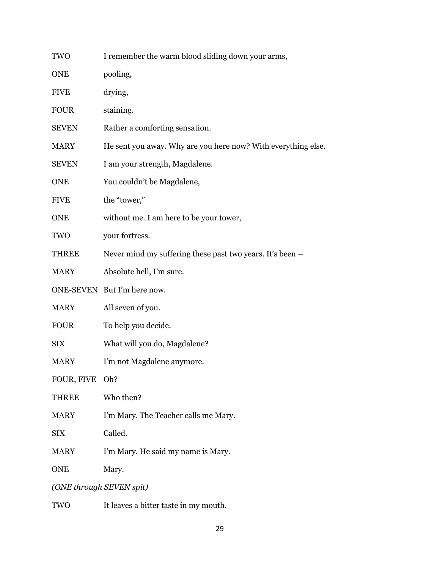| TWO                      | I remember the warm blood sliding down your arms,             |
|--------------------------|---------------------------------------------------------------|
| <b>ONE</b>               | pooling,                                                      |
| <b>FIVE</b>              | drying,                                                       |
| <b>FOUR</b>              | staining.                                                     |
| <b>SEVEN</b>             | Rather a comforting sensation.                                |
| <b>MARY</b>              | He sent you away. Why are you here now? With everything else. |
| <b>SEVEN</b>             | I am your strength, Magdalene.                                |
| <b>ONE</b>               | You couldn't be Magdalene,                                    |
| <b>FIVE</b>              | the "tower,"                                                  |
| <b>ONE</b>               | without me. I am here to be your tower,                       |
| TWO                      | your fortress.                                                |
| THREE                    | Never mind my suffering these past two years. It's been –     |
| <b>MARY</b>              | Absolute hell, I'm sure.                                      |
|                          | ONE-SEVEN But I'm here now.                                   |
| <b>MARY</b>              | All seven of you.                                             |
| <b>FOUR</b>              | To help you decide.                                           |
| <b>SIX</b>               | What will you do, Magdalene?                                  |
| <b>MARY</b>              | I'm not Magdalene anymore.                                    |
| FOUR, FIVE               | Oh?                                                           |
| THREE                    | Who then?                                                     |
| <b>MARY</b>              | I'm Mary. The Teacher calls me Mary.                          |
| <b>SIX</b>               | Called.                                                       |
| <b>MARY</b>              | I'm Mary. He said my name is Mary.                            |
| <b>ONE</b>               | Mary.                                                         |
| (ONE through SEVEN spit) |                                                               |
| TWO                      | It leaves a bitter taste in my mouth.                         |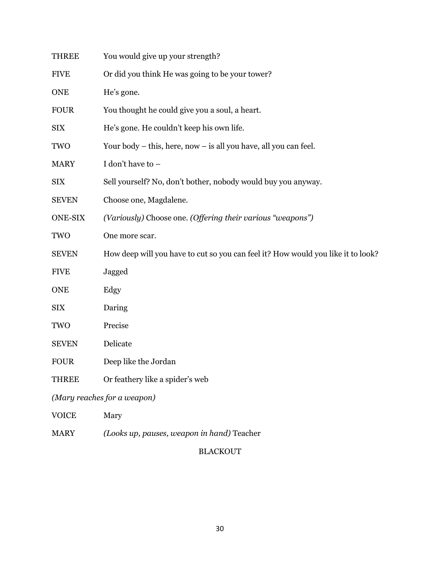| <b>THREE</b>                | You would give up your strength?                                                 |
|-----------------------------|----------------------------------------------------------------------------------|
| <b>FIVE</b>                 | Or did you think He was going to be your tower?                                  |
| <b>ONE</b>                  | He's gone.                                                                       |
| <b>FOUR</b>                 | You thought he could give you a soul, a heart.                                   |
| <b>SIX</b>                  | He's gone. He couldn't keep his own life.                                        |
| TWO                         | Your body – this, here, now – is all you have, all you can feel.                 |
| <b>MARY</b>                 | I don't have to -                                                                |
| <b>SIX</b>                  | Sell yourself? No, don't bother, nobody would buy you anyway.                    |
| <b>SEVEN</b>                | Choose one, Magdalene.                                                           |
| <b>ONE-SIX</b>              | (Variously) Choose one. (Offering their various "weapons")                       |
| TWO                         | One more scar.                                                                   |
| <b>SEVEN</b>                | How deep will you have to cut so you can feel it? How would you like it to look? |
| <b>FIVE</b>                 | Jagged                                                                           |
| <b>ONE</b>                  | Edgy                                                                             |
| <b>SIX</b>                  | Daring                                                                           |
| TWO                         | Precise                                                                          |
| <b>SEVEN</b>                | Delicate                                                                         |
| <b>FOUR</b>                 | Deep like the Jordan                                                             |
| <b>THREE</b>                | Or feathery like a spider's web                                                  |
| (Mary reaches for a weapon) |                                                                                  |
| <b>VOICE</b>                | Mary                                                                             |
| <b>MARY</b>                 | (Looks up, pauses, weapon in hand) Teacher                                       |

# BLACKOUT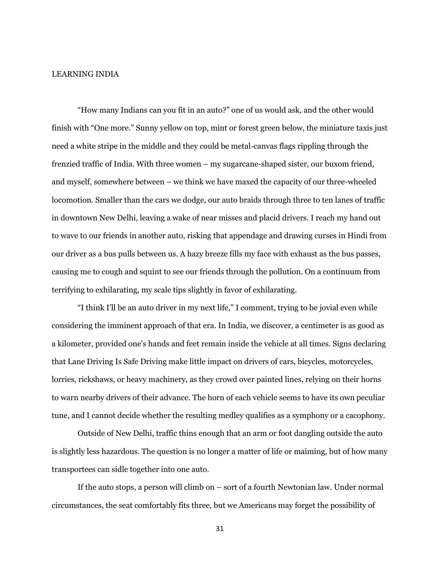#### LEARNING INDIA

"How many Indians can you fit in an auto?" one of us would ask, and the other would finish with "One more." Sunny yellow on top, mint or forest green below, the miniature taxis just need a white stripe in the middle and they could be metal-canvas flags rippling through the frenzied traffic of India. With three women – my sugarcane-shaped sister, our buxom friend, and myself, somewhere between – we think we have maxed the capacity of our three-wheeled locomotion. Smaller than the cars we dodge, our auto braids through three to ten lanes of traffic in downtown New Delhi, leaving a wake of near misses and placid drivers. I reach my hand out to wave to our friends in another auto, risking that appendage and drawing curses in Hindi from our driver as a bus pulls between us. A hazy breeze fills my face with exhaust as the bus passes, causing me to cough and squint to see our friends through the pollution. On a continuum from terrifying to exhilarating, my scale tips slightly in favor of exhilarating.

"I think I'll be an auto driver in my next life," I comment, trying to be jovial even while considering the imminent approach of that era. In India, we discover, a centimeter is as good as a kilometer, provided one's hands and feet remain inside the vehicle at all times. Signs declaring that Lane Driving Is Safe Driving make little impact on drivers of cars, bicycles, motorcycles, lorries, rickshaws, or heavy machinery, as they crowd over painted lines, relying on their horns to warn nearby drivers of their advance. The horn of each vehicle seems to have its own peculiar tune, and I cannot decide whether the resulting medley qualifies as a symphony or a cacophony.

Outside of New Delhi, traffic thins enough that an arm or foot dangling outside the auto is slightly less hazardous. The question is no longer a matter of life or maiming, but of how many transportees can sidle together into one auto.

If the auto stops, a person will climb on – sort of a fourth Newtonian law. Under normal circumstances, the seat comfortably fits three, but we Americans may forget the possibility of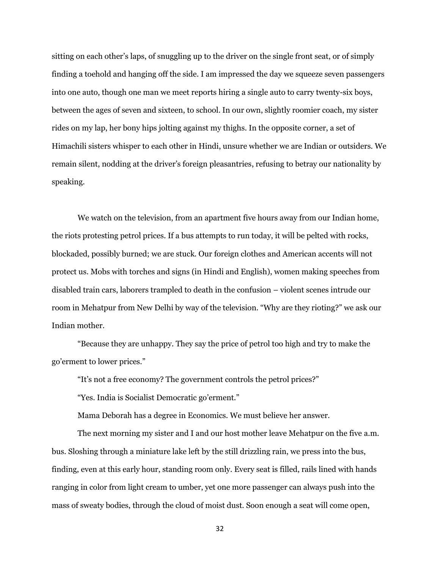sitting on each other's laps, of snuggling up to the driver on the single front seat, or of simply finding a toehold and hanging off the side. I am impressed the day we squeeze seven passengers into one auto, though one man we meet reports hiring a single auto to carry twenty-six boys, between the ages of seven and sixteen, to school. In our own, slightly roomier coach, my sister rides on my lap, her bony hips jolting against my thighs. In the opposite corner, a set of Himachili sisters whisper to each other in Hindi, unsure whether we are Indian or outsiders. We remain silent, nodding at the driver's foreign pleasantries, refusing to betray our nationality by speaking.

We watch on the television, from an apartment five hours away from our Indian home, the riots protesting petrol prices. If a bus attempts to run today, it will be pelted with rocks, blockaded, possibly burned; we are stuck. Our foreign clothes and American accents will not protect us. Mobs with torches and signs (in Hindi and English), women making speeches from disabled train cars, laborers trampled to death in the confusion – violent scenes intrude our room in Mehatpur from New Delhi by way of the television. "Why are they rioting?" we ask our Indian mother.

"Because they are unhappy. They say the price of petrol too high and try to make the go'erment to lower prices."

"It's not a free economy? The government controls the petrol prices?"

"Yes. India is Socialist Democratic go'erment."

Mama Deborah has a degree in Economics. We must believe her answer.

The next morning my sister and I and our host mother leave Mehatpur on the five a.m. bus. Sloshing through a miniature lake left by the still drizzling rain, we press into the bus, finding, even at this early hour, standing room only. Every seat is filled, rails lined with hands ranging in color from light cream to umber, yet one more passenger can always push into the mass of sweaty bodies, through the cloud of moist dust. Soon enough a seat will come open,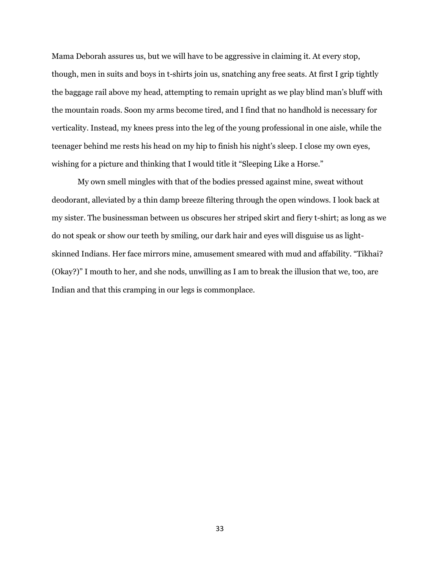Mama Deborah assures us, but we will have to be aggressive in claiming it. At every stop, though, men in suits and boys in t-shirts join us, snatching any free seats. At first I grip tightly the baggage rail above my head, attempting to remain upright as we play blind man's bluff with the mountain roads. Soon my arms become tired, and I find that no handhold is necessary for verticality. Instead, my knees press into the leg of the young professional in one aisle, while the teenager behind me rests his head on my hip to finish his night's sleep. I close my own eyes, wishing for a picture and thinking that I would title it "Sleeping Like a Horse."

My own smell mingles with that of the bodies pressed against mine, sweat without deodorant, alleviated by a thin damp breeze filtering through the open windows. I look back at my sister. The businessman between us obscures her striped skirt and fiery t-shirt; as long as we do not speak or show our teeth by smiling, our dark hair and eyes will disguise us as lightskinned Indians. Her face mirrors mine, amusement smeared with mud and affability. "Tikhai? (Okay?)" I mouth to her, and she nods, unwilling as I am to break the illusion that we, too, are Indian and that this cramping in our legs is commonplace.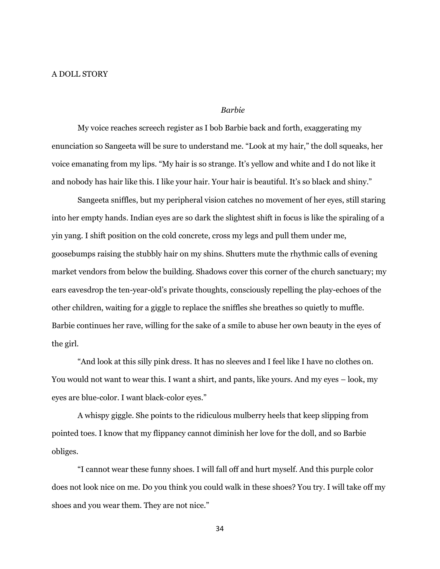## *Barbie*

My voice reaches screech register as I bob Barbie back and forth, exaggerating my enunciation so Sangeeta will be sure to understand me. "Look at my hair," the doll squeaks, her voice emanating from my lips. "My hair is so strange. It's yellow and white and I do not like it and nobody has hair like this. I like your hair. Your hair is beautiful. It's so black and shiny."

Sangeeta sniffles, but my peripheral vision catches no movement of her eyes, still staring into her empty hands. Indian eyes are so dark the slightest shift in focus is like the spiraling of a yin yang. I shift position on the cold concrete, cross my legs and pull them under me, goosebumps raising the stubbly hair on my shins. Shutters mute the rhythmic calls of evening market vendors from below the building. Shadows cover this corner of the church sanctuary; my ears eavesdrop the ten-year-old's private thoughts, consciously repelling the play-echoes of the other children, waiting for a giggle to replace the sniffles she breathes so quietly to muffle. Barbie continues her rave, willing for the sake of a smile to abuse her own beauty in the eyes of the girl.

"And look at this silly pink dress. It has no sleeves and I feel like I have no clothes on. You would not want to wear this. I want a shirt, and pants, like yours. And my eyes – look, my eyes are blue-color. I want black-color eyes."

A whispy giggle. She points to the ridiculous mulberry heels that keep slipping from pointed toes. I know that my flippancy cannot diminish her love for the doll, and so Barbie obliges.

"I cannot wear these funny shoes. I will fall off and hurt myself. And this purple color does not look nice on me. Do you think you could walk in these shoes? You try. I will take off my shoes and you wear them. They are not nice."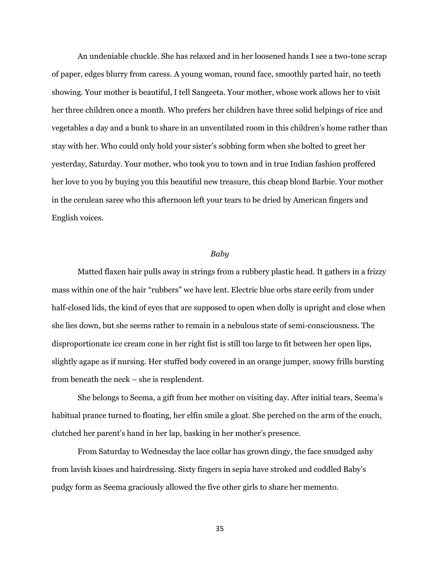An undeniable chuckle. She has relaxed and in her loosened hands I see a two-tone scrap of paper, edges blurry from caress. A young woman, round face, smoothly parted hair, no teeth showing. Your mother is beautiful, I tell Sangeeta. Your mother, whose work allows her to visit her three children once a month. Who prefers her children have three solid helpings of rice and vegetables a day and a bunk to share in an unventilated room in this children's home rather than stay with her. Who could only hold your sister's sobbing form when she bolted to greet her yesterday, Saturday. Your mother, who took you to town and in true Indian fashion proffered her love to you by buying you this beautiful new treasure, this cheap blond Barbie. Your mother in the cerulean saree who this afternoon left your tears to be dried by American fingers and English voices.

### *Baby*

Matted flaxen hair pulls away in strings from a rubbery plastic head. It gathers in a frizzy mass within one of the hair "rubbers" we have lent. Electric blue orbs stare eerily from under half-closed lids, the kind of eyes that are supposed to open when dolly is upright and close when she lies down, but she seems rather to remain in a nebulous state of semi-consciousness. The disproportionate ice cream cone in her right fist is still too large to fit between her open lips, slightly agape as if nursing. Her stuffed body covered in an orange jumper, snowy frills bursting from beneath the neck – she is resplendent.

She belongs to Seema, a gift from her mother on visiting day. After initial tears, Seema's habitual prance turned to floating, her elfin smile a gloat. She perched on the arm of the couch, clutched her parent's hand in her lap, basking in her mother's presence.

From Saturday to Wednesday the lace collar has grown dingy, the face smudged ashy from lavish kisses and hairdressing. Sixty fingers in sepia have stroked and coddled Baby's pudgy form as Seema graciously allowed the five other girls to share her memento.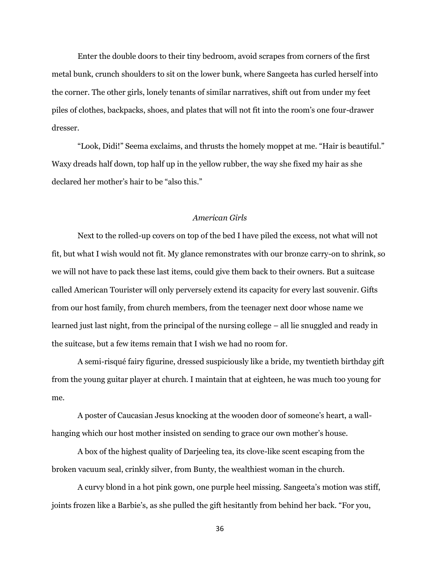Enter the double doors to their tiny bedroom, avoid scrapes from corners of the first metal bunk, crunch shoulders to sit on the lower bunk, where Sangeeta has curled herself into the corner. The other girls, lonely tenants of similar narratives, shift out from under my feet piles of clothes, backpacks, shoes, and plates that will not fit into the room's one four-drawer dresser.

"Look, Didi!" Seema exclaims, and thrusts the homely moppet at me. "Hair is beautiful." Waxy dreads half down, top half up in the yellow rubber, the way she fixed my hair as she declared her mother's hair to be "also this."

# *American Girls*

Next to the rolled-up covers on top of the bed I have piled the excess, not what will not fit, but what I wish would not fit. My glance remonstrates with our bronze carry-on to shrink, so we will not have to pack these last items, could give them back to their owners. But a suitcase called American Tourister will only perversely extend its capacity for every last souvenir. Gifts from our host family, from church members, from the teenager next door whose name we learned just last night, from the principal of the nursing college – all lie snuggled and ready in the suitcase, but a few items remain that I wish we had no room for.

A semi-risqué fairy figurine, dressed suspiciously like a bride, my twentieth birthday gift from the young guitar player at church. I maintain that at eighteen, he was much too young for me.

A poster of Caucasian Jesus knocking at the wooden door of someone's heart, a wallhanging which our host mother insisted on sending to grace our own mother's house.

A box of the highest quality of Darjeeling tea, its clove-like scent escaping from the broken vacuum seal, crinkly silver, from Bunty, the wealthiest woman in the church.

A curvy blond in a hot pink gown, one purple heel missing. Sangeeta's motion was stiff, joints frozen like a Barbie's, as she pulled the gift hesitantly from behind her back. "For you,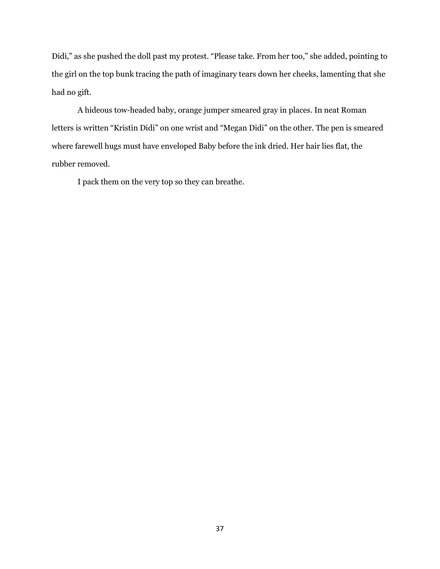Didi," as she pushed the doll past my protest. "Please take. From her too," she added, pointing to the girl on the top bunk tracing the path of imaginary tears down her cheeks, lamenting that she had no gift.

A hideous tow-headed baby, orange jumper smeared gray in places. In neat Roman letters is written "Kristin Didi" on one wrist and "Megan Didi" on the other. The pen is smeared where farewell hugs must have enveloped Baby before the ink dried. Her hair lies flat, the rubber removed.

I pack them on the very top so they can breathe.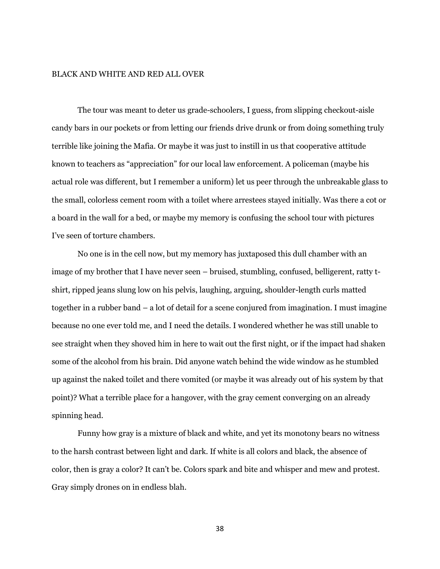#### BLACK AND WHITE AND RED ALL OVER

The tour was meant to deter us grade-schoolers, I guess, from slipping checkout-aisle candy bars in our pockets or from letting our friends drive drunk or from doing something truly terrible like joining the Mafia. Or maybe it was just to instill in us that cooperative attitude known to teachers as "appreciation" for our local law enforcement. A policeman (maybe his actual role was different, but I remember a uniform) let us peer through the unbreakable glass to the small, colorless cement room with a toilet where arrestees stayed initially. Was there a cot or a board in the wall for a bed, or maybe my memory is confusing the school tour with pictures I've seen of torture chambers.

No one is in the cell now, but my memory has juxtaposed this dull chamber with an image of my brother that I have never seen – bruised, stumbling, confused, belligerent, ratty tshirt, ripped jeans slung low on his pelvis, laughing, arguing, shoulder-length curls matted together in a rubber band – a lot of detail for a scene conjured from imagination. I must imagine because no one ever told me, and I need the details. I wondered whether he was still unable to see straight when they shoved him in here to wait out the first night, or if the impact had shaken some of the alcohol from his brain. Did anyone watch behind the wide window as he stumbled up against the naked toilet and there vomited (or maybe it was already out of his system by that point)? What a terrible place for a hangover, with the gray cement converging on an already spinning head.

Funny how gray is a mixture of black and white, and yet its monotony bears no witness to the harsh contrast between light and dark. If white is all colors and black, the absence of color, then is gray a color? It can't be. Colors spark and bite and whisper and mew and protest. Gray simply drones on in endless blah.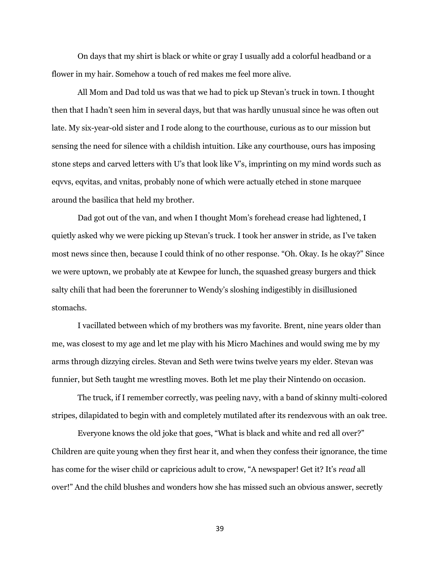On days that my shirt is black or white or gray I usually add a colorful headband or a flower in my hair. Somehow a touch of red makes me feel more alive.

All Mom and Dad told us was that we had to pick up Stevan's truck in town. I thought then that I hadn't seen him in several days, but that was hardly unusual since he was often out late. My six-year-old sister and I rode along to the courthouse, curious as to our mission but sensing the need for silence with a childish intuition. Like any courthouse, ours has imposing stone steps and carved letters with U's that look like V's, imprinting on my mind words such as eqvvs, eqvitas, and vnitas, probably none of which were actually etched in stone marquee around the basilica that held my brother.

Dad got out of the van, and when I thought Mom's forehead crease had lightened, I quietly asked why we were picking up Stevan's truck. I took her answer in stride, as I've taken most news since then, because I could think of no other response. "Oh. Okay. Is he okay?" Since we were uptown, we probably ate at Kewpee for lunch, the squashed greasy burgers and thick salty chili that had been the forerunner to Wendy's sloshing indigestibly in disillusioned stomachs.

I vacillated between which of my brothers was my favorite. Brent, nine years older than me, was closest to my age and let me play with his Micro Machines and would swing me by my arms through dizzying circles. Stevan and Seth were twins twelve years my elder. Stevan was funnier, but Seth taught me wrestling moves. Both let me play their Nintendo on occasion.

The truck, if I remember correctly, was peeling navy, with a band of skinny multi-colored stripes, dilapidated to begin with and completely mutilated after its rendezvous with an oak tree.

Everyone knows the old joke that goes, "What is black and white and red all over?" Children are quite young when they first hear it, and when they confess their ignorance, the time has come for the wiser child or capricious adult to crow, "A newspaper! Get it? It's *read* all over!" And the child blushes and wonders how she has missed such an obvious answer, secretly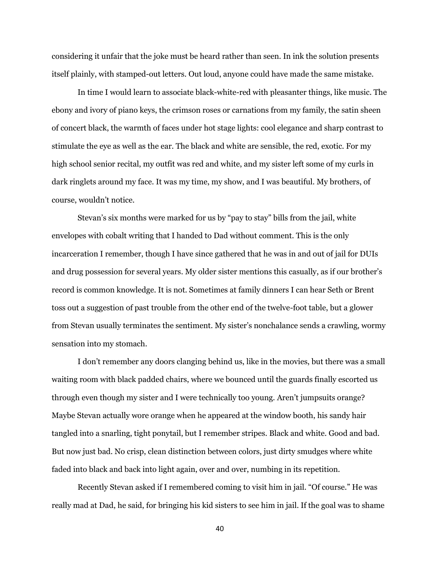considering it unfair that the joke must be heard rather than seen. In ink the solution presents itself plainly, with stamped-out letters. Out loud, anyone could have made the same mistake.

In time I would learn to associate black-white-red with pleasanter things, like music. The ebony and ivory of piano keys, the crimson roses or carnations from my family, the satin sheen of concert black, the warmth of faces under hot stage lights: cool elegance and sharp contrast to stimulate the eye as well as the ear. The black and white are sensible, the red, exotic. For my high school senior recital, my outfit was red and white, and my sister left some of my curls in dark ringlets around my face. It was my time, my show, and I was beautiful. My brothers, of course, wouldn't notice.

Stevan's six months were marked for us by "pay to stay" bills from the jail, white envelopes with cobalt writing that I handed to Dad without comment. This is the only incarceration I remember, though I have since gathered that he was in and out of jail for DUIs and drug possession for several years. My older sister mentions this casually, as if our brother's record is common knowledge. It is not. Sometimes at family dinners I can hear Seth or Brent toss out a suggestion of past trouble from the other end of the twelve-foot table, but a glower from Stevan usually terminates the sentiment. My sister's nonchalance sends a crawling, wormy sensation into my stomach.

I don't remember any doors clanging behind us, like in the movies, but there was a small waiting room with black padded chairs, where we bounced until the guards finally escorted us through even though my sister and I were technically too young. Aren't jumpsuits orange? Maybe Stevan actually wore orange when he appeared at the window booth, his sandy hair tangled into a snarling, tight ponytail, but I remember stripes. Black and white. Good and bad. But now just bad. No crisp, clean distinction between colors, just dirty smudges where white faded into black and back into light again, over and over, numbing in its repetition.

Recently Stevan asked if I remembered coming to visit him in jail. "Of course." He was really mad at Dad, he said, for bringing his kid sisters to see him in jail. If the goal was to shame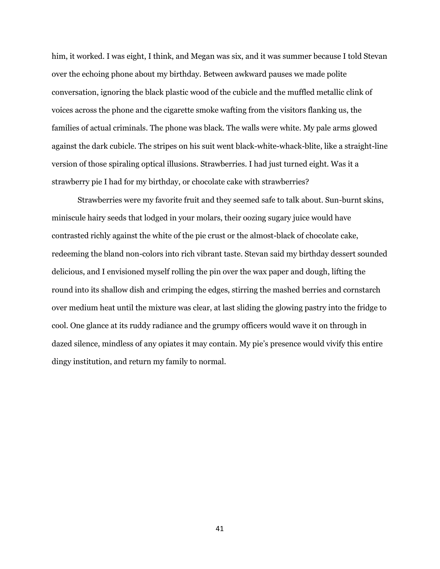him, it worked. I was eight, I think, and Megan was six, and it was summer because I told Stevan over the echoing phone about my birthday. Between awkward pauses we made polite conversation, ignoring the black plastic wood of the cubicle and the muffled metallic clink of voices across the phone and the cigarette smoke wafting from the visitors flanking us, the families of actual criminals. The phone was black. The walls were white. My pale arms glowed against the dark cubicle. The stripes on his suit went black-white-whack-blite, like a straight-line version of those spiraling optical illusions. Strawberries. I had just turned eight. Was it a strawberry pie I had for my birthday, or chocolate cake with strawberries?

Strawberries were my favorite fruit and they seemed safe to talk about. Sun-burnt skins, miniscule hairy seeds that lodged in your molars, their oozing sugary juice would have contrasted richly against the white of the pie crust or the almost-black of chocolate cake, redeeming the bland non-colors into rich vibrant taste. Stevan said my birthday dessert sounded delicious, and I envisioned myself rolling the pin over the wax paper and dough, lifting the round into its shallow dish and crimping the edges, stirring the mashed berries and cornstarch over medium heat until the mixture was clear, at last sliding the glowing pastry into the fridge to cool. One glance at its ruddy radiance and the grumpy officers would wave it on through in dazed silence, mindless of any opiates it may contain. My pie's presence would vivify this entire dingy institution, and return my family to normal.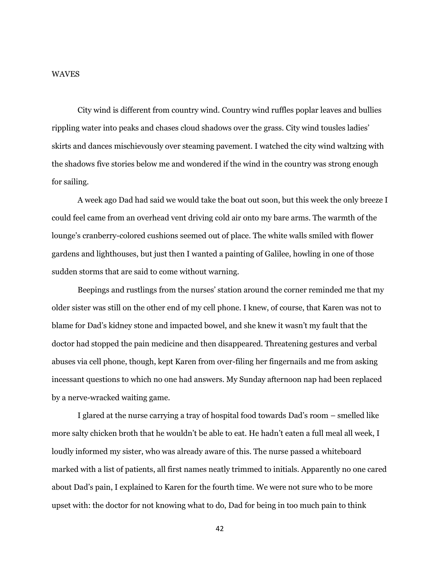#### WAVES

City wind is different from country wind. Country wind ruffles poplar leaves and bullies rippling water into peaks and chases cloud shadows over the grass. City wind tousles ladies' skirts and dances mischievously over steaming pavement. I watched the city wind waltzing with the shadows five stories below me and wondered if the wind in the country was strong enough for sailing.

A week ago Dad had said we would take the boat out soon, but this week the only breeze I could feel came from an overhead vent driving cold air onto my bare arms. The warmth of the lounge's cranberry-colored cushions seemed out of place. The white walls smiled with flower gardens and lighthouses, but just then I wanted a painting of Galilee, howling in one of those sudden storms that are said to come without warning.

Beepings and rustlings from the nurses' station around the corner reminded me that my older sister was still on the other end of my cell phone. I knew, of course, that Karen was not to blame for Dad's kidney stone and impacted bowel, and she knew it wasn't my fault that the doctor had stopped the pain medicine and then disappeared. Threatening gestures and verbal abuses via cell phone, though, kept Karen from over-filing her fingernails and me from asking incessant questions to which no one had answers. My Sunday afternoon nap had been replaced by a nerve-wracked waiting game.

I glared at the nurse carrying a tray of hospital food towards Dad's room – smelled like more salty chicken broth that he wouldn't be able to eat. He hadn't eaten a full meal all week, I loudly informed my sister, who was already aware of this. The nurse passed a whiteboard marked with a list of patients, all first names neatly trimmed to initials. Apparently no one cared about Dad's pain, I explained to Karen for the fourth time. We were not sure who to be more upset with: the doctor for not knowing what to do, Dad for being in too much pain to think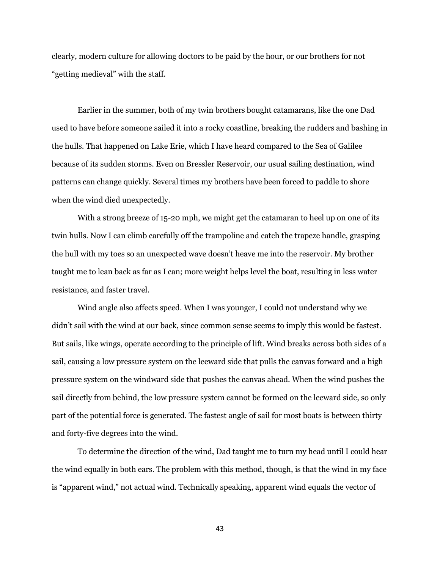clearly, modern culture for allowing doctors to be paid by the hour, or our brothers for not "getting medieval" with the staff.

Earlier in the summer, both of my twin brothers bought catamarans, like the one Dad used to have before someone sailed it into a rocky coastline, breaking the rudders and bashing in the hulls. That happened on Lake Erie, which I have heard compared to the Sea of Galilee because of its sudden storms. Even on Bressler Reservoir, our usual sailing destination, wind patterns can change quickly. Several times my brothers have been forced to paddle to shore when the wind died unexpectedly.

With a strong breeze of 15-20 mph, we might get the catamaran to heel up on one of its twin hulls. Now I can climb carefully off the trampoline and catch the trapeze handle, grasping the hull with my toes so an unexpected wave doesn't heave me into the reservoir. My brother taught me to lean back as far as I can; more weight helps level the boat, resulting in less water resistance, and faster travel.

Wind angle also affects speed. When I was younger, I could not understand why we didn't sail with the wind at our back, since common sense seems to imply this would be fastest. But sails, like wings, operate according to the principle of lift. Wind breaks across both sides of a sail, causing a low pressure system on the leeward side that pulls the canvas forward and a high pressure system on the windward side that pushes the canvas ahead. When the wind pushes the sail directly from behind, the low pressure system cannot be formed on the leeward side, so only part of the potential force is generated. The fastest angle of sail for most boats is between thirty and forty-five degrees into the wind.

To determine the direction of the wind, Dad taught me to turn my head until I could hear the wind equally in both ears. The problem with this method, though, is that the wind in my face is "apparent wind," not actual wind. Technically speaking, apparent wind equals the vector of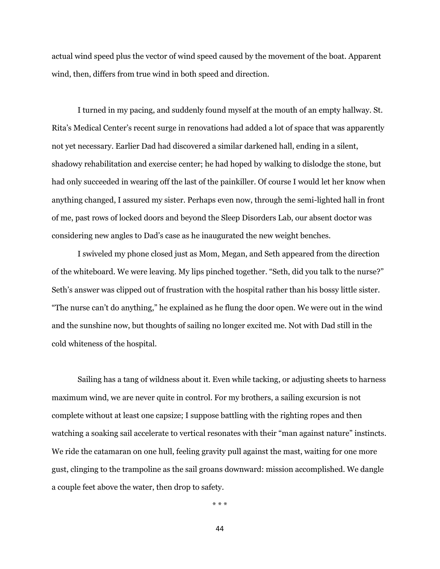actual wind speed plus the vector of wind speed caused by the movement of the boat. Apparent wind, then, differs from true wind in both speed and direction.

I turned in my pacing, and suddenly found myself at the mouth of an empty hallway. St. Rita's Medical Center's recent surge in renovations had added a lot of space that was apparently not yet necessary. Earlier Dad had discovered a similar darkened hall, ending in a silent, shadowy rehabilitation and exercise center; he had hoped by walking to dislodge the stone, but had only succeeded in wearing off the last of the painkiller. Of course I would let her know when anything changed, I assured my sister. Perhaps even now, through the semi-lighted hall in front of me, past rows of locked doors and beyond the Sleep Disorders Lab, our absent doctor was considering new angles to Dad's case as he inaugurated the new weight benches.

I swiveled my phone closed just as Mom, Megan, and Seth appeared from the direction of the whiteboard. We were leaving. My lips pinched together. "Seth, did you talk to the nurse?" Seth's answer was clipped out of frustration with the hospital rather than his bossy little sister. "The nurse can't do anything," he explained as he flung the door open. We were out in the wind and the sunshine now, but thoughts of sailing no longer excited me. Not with Dad still in the cold whiteness of the hospital.

Sailing has a tang of wildness about it. Even while tacking, or adjusting sheets to harness maximum wind, we are never quite in control. For my brothers, a sailing excursion is not complete without at least one capsize; I suppose battling with the righting ropes and then watching a soaking sail accelerate to vertical resonates with their "man against nature" instincts. We ride the catamaran on one hull, feeling gravity pull against the mast, waiting for one more gust, clinging to the trampoline as the sail groans downward: mission accomplished. We dangle a couple feet above the water, then drop to safety.

\* \* \*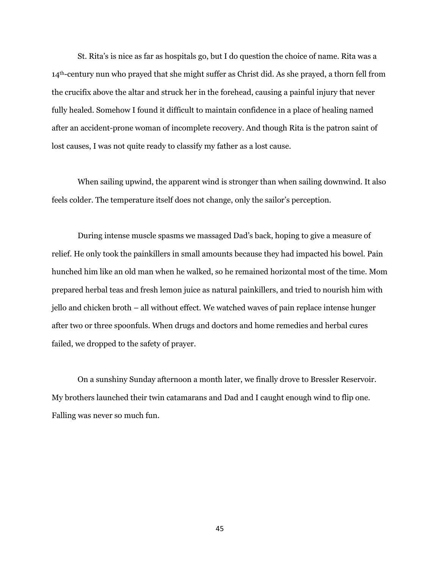St. Rita's is nice as far as hospitals go, but I do question the choice of name. Rita was a 14th-century nun who prayed that she might suffer as Christ did. As she prayed, a thorn fell from the crucifix above the altar and struck her in the forehead, causing a painful injury that never fully healed. Somehow I found it difficult to maintain confidence in a place of healing named after an accident-prone woman of incomplete recovery. And though Rita is the patron saint of lost causes, I was not quite ready to classify my father as a lost cause.

When sailing upwind, the apparent wind is stronger than when sailing downwind. It also feels colder. The temperature itself does not change, only the sailor's perception.

During intense muscle spasms we massaged Dad's back, hoping to give a measure of relief. He only took the painkillers in small amounts because they had impacted his bowel. Pain hunched him like an old man when he walked, so he remained horizontal most of the time. Mom prepared herbal teas and fresh lemon juice as natural painkillers, and tried to nourish him with jello and chicken broth – all without effect. We watched waves of pain replace intense hunger after two or three spoonfuls. When drugs and doctors and home remedies and herbal cures failed, we dropped to the safety of prayer.

On a sunshiny Sunday afternoon a month later, we finally drove to Bressler Reservoir. My brothers launched their twin catamarans and Dad and I caught enough wind to flip one. Falling was never so much fun.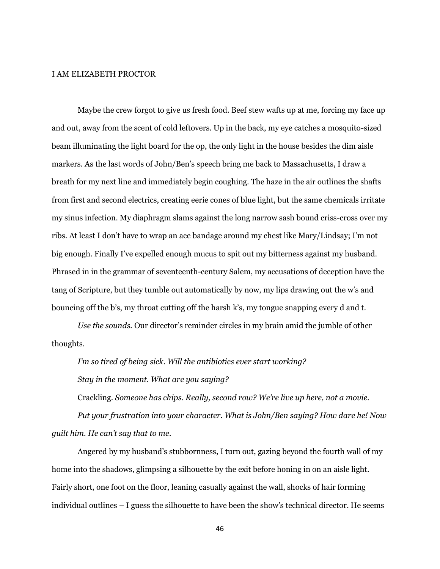#### I AM ELIZABETH PROCTOR

Maybe the crew forgot to give us fresh food. Beef stew wafts up at me, forcing my face up and out, away from the scent of cold leftovers. Up in the back, my eye catches a mosquito-sized beam illuminating the light board for the op, the only light in the house besides the dim aisle markers. As the last words of John/Ben's speech bring me back to Massachusetts, I draw a breath for my next line and immediately begin coughing. The haze in the air outlines the shafts from first and second electrics, creating eerie cones of blue light, but the same chemicals irritate my sinus infection. My diaphragm slams against the long narrow sash bound criss-cross over my ribs. At least I don't have to wrap an ace bandage around my chest like Mary/Lindsay; I'm not big enough. Finally I've expelled enough mucus to spit out my bitterness against my husband. Phrased in in the grammar of seventeenth-century Salem, my accusations of deception have the tang of Scripture, but they tumble out automatically by now, my lips drawing out the w's and bouncing off the b's, my throat cutting off the harsh k's, my tongue snapping every d and t.

*Use the sounds.* Our director's reminder circles in my brain amid the jumble of other thoughts.

*I'm so tired of being sick. Will the antibiotics ever start working?*

*Stay in the moment. What are you saying?*

Crackling*. Someone has chips. Really, second row? We're live up here, not a movie.*

*Put your frustration into your character. What is John/Ben saying? How dare he! Now guilt him. He can't say that to me.*

Angered by my husband's stubbornness, I turn out, gazing beyond the fourth wall of my home into the shadows, glimpsing a silhouette by the exit before honing in on an aisle light. Fairly short, one foot on the floor, leaning casually against the wall, shocks of hair forming individual outlines – I guess the silhouette to have been the show's technical director. He seems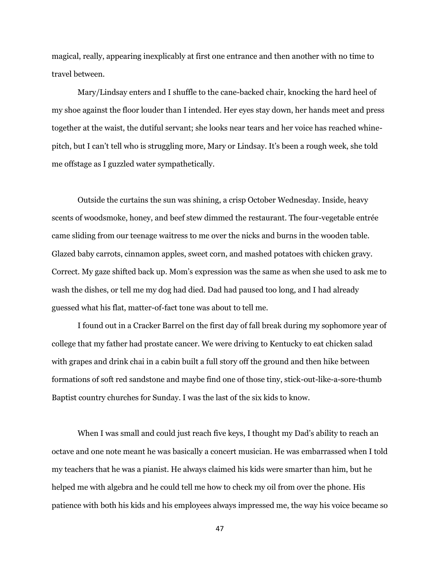magical, really, appearing inexplicably at first one entrance and then another with no time to travel between.

Mary/Lindsay enters and I shuffle to the cane-backed chair, knocking the hard heel of my shoe against the floor louder than I intended. Her eyes stay down, her hands meet and press together at the waist, the dutiful servant; she looks near tears and her voice has reached whinepitch, but I can't tell who is struggling more, Mary or Lindsay. It's been a rough week, she told me offstage as I guzzled water sympathetically.

Outside the curtains the sun was shining, a crisp October Wednesday. Inside, heavy scents of woodsmoke, honey, and beef stew dimmed the restaurant. The four-vegetable entrée came sliding from our teenage waitress to me over the nicks and burns in the wooden table. Glazed baby carrots, cinnamon apples, sweet corn, and mashed potatoes with chicken gravy. Correct. My gaze shifted back up. Mom's expression was the same as when she used to ask me to wash the dishes, or tell me my dog had died. Dad had paused too long, and I had already guessed what his flat, matter-of-fact tone was about to tell me.

I found out in a Cracker Barrel on the first day of fall break during my sophomore year of college that my father had prostate cancer. We were driving to Kentucky to eat chicken salad with grapes and drink chai in a cabin built a full story off the ground and then hike between formations of soft red sandstone and maybe find one of those tiny, stick-out-like-a-sore-thumb Baptist country churches for Sunday. I was the last of the six kids to know.

When I was small and could just reach five keys, I thought my Dad's ability to reach an octave and one note meant he was basically a concert musician. He was embarrassed when I told my teachers that he was a pianist. He always claimed his kids were smarter than him, but he helped me with algebra and he could tell me how to check my oil from over the phone. His patience with both his kids and his employees always impressed me, the way his voice became so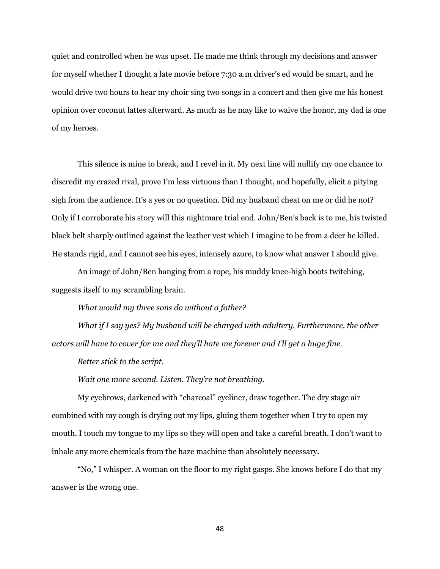quiet and controlled when he was upset. He made me think through my decisions and answer for myself whether I thought a late movie before 7:30 a.m driver's ed would be smart, and he would drive two hours to hear my choir sing two songs in a concert and then give me his honest opinion over coconut lattes afterward. As much as he may like to waive the honor, my dad is one of my heroes.

This silence is mine to break, and I revel in it. My next line will nullify my one chance to discredit my crazed rival, prove I'm less virtuous than I thought, and hopefully, elicit a pitying sigh from the audience. It's a yes or no question. Did my husband cheat on me or did he not? Only if I corroborate his story will this nightmare trial end. John/Ben's back is to me, his twisted black belt sharply outlined against the leather vest which I imagine to be from a deer he killed. He stands rigid, and I cannot see his eyes, intensely azure, to know what answer I should give.

An image of John/Ben hanging from a rope, his muddy knee-high boots twitching, suggests itself to my scrambling brain.

*What would my three sons do without a father?*

*What if I say yes? My husband will be charged with adultery. Furthermore, the other actors will have to cover for me and they'll hate me forever and I'll get a huge fine.*

*Better stick to the script.*

*Wait one more second. Listen. They're not breathing.*

My eyebrows, darkened with "charcoal" eyeliner, draw together. The dry stage air combined with my cough is drying out my lips, gluing them together when I try to open my mouth. I touch my tongue to my lips so they will open and take a careful breath. I don't want to inhale any more chemicals from the haze machine than absolutely necessary.

"No," I whisper. A woman on the floor to my right gasps. She knows before I do that my answer is the wrong one.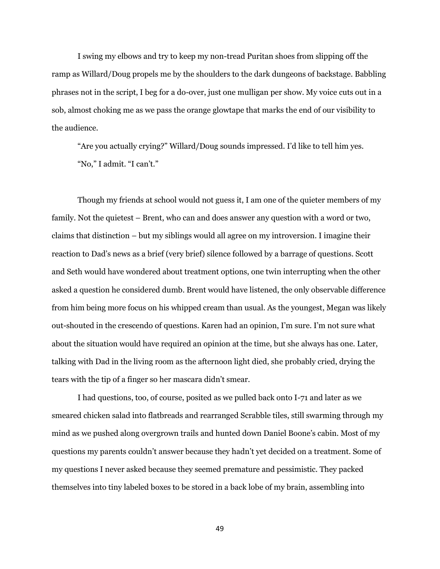I swing my elbows and try to keep my non-tread Puritan shoes from slipping off the ramp as Willard/Doug propels me by the shoulders to the dark dungeons of backstage. Babbling phrases not in the script, I beg for a do-over, just one mulligan per show. My voice cuts out in a sob, almost choking me as we pass the orange glowtape that marks the end of our visibility to the audience.

"Are you actually crying?" Willard/Doug sounds impressed. I'd like to tell him yes. "No," I admit. "I can't."

Though my friends at school would not guess it, I am one of the quieter members of my family. Not the quietest – Brent, who can and does answer any question with a word or two, claims that distinction – but my siblings would all agree on my introversion. I imagine their reaction to Dad's news as a brief (very brief) silence followed by a barrage of questions. Scott and Seth would have wondered about treatment options, one twin interrupting when the other asked a question he considered dumb. Brent would have listened, the only observable difference from him being more focus on his whipped cream than usual. As the youngest, Megan was likely out-shouted in the crescendo of questions. Karen had an opinion, I'm sure. I'm not sure what about the situation would have required an opinion at the time, but she always has one. Later, talking with Dad in the living room as the afternoon light died, she probably cried, drying the tears with the tip of a finger so her mascara didn't smear.

I had questions, too, of course, posited as we pulled back onto I-71 and later as we smeared chicken salad into flatbreads and rearranged Scrabble tiles, still swarming through my mind as we pushed along overgrown trails and hunted down Daniel Boone's cabin. Most of my questions my parents couldn't answer because they hadn't yet decided on a treatment. Some of my questions I never asked because they seemed premature and pessimistic. They packed themselves into tiny labeled boxes to be stored in a back lobe of my brain, assembling into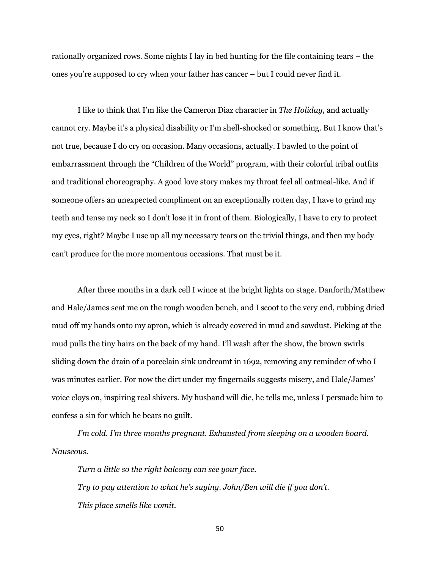rationally organized rows. Some nights I lay in bed hunting for the file containing tears – the ones you're supposed to cry when your father has cancer – but I could never find it.

I like to think that I'm like the Cameron Diaz character in *The Holiday*, and actually cannot cry. Maybe it's a physical disability or I'm shell-shocked or something. But I know that's not true, because I do cry on occasion. Many occasions, actually. I bawled to the point of embarrassment through the "Children of the World" program, with their colorful tribal outfits and traditional choreography. A good love story makes my throat feel all oatmeal-like. And if someone offers an unexpected compliment on an exceptionally rotten day, I have to grind my teeth and tense my neck so I don't lose it in front of them. Biologically, I have to cry to protect my eyes, right? Maybe I use up all my necessary tears on the trivial things, and then my body can't produce for the more momentous occasions. That must be it.

After three months in a dark cell I wince at the bright lights on stage. Danforth/Matthew and Hale/James seat me on the rough wooden bench, and I scoot to the very end, rubbing dried mud off my hands onto my apron, which is already covered in mud and sawdust. Picking at the mud pulls the tiny hairs on the back of my hand. I'll wash after the show, the brown swirls sliding down the drain of a porcelain sink undreamt in 1692, removing any reminder of who I was minutes earlier. For now the dirt under my fingernails suggests misery, and Hale/James' voice cloys on, inspiring real shivers. My husband will die, he tells me, unless I persuade him to confess a sin for which he bears no guilt.

*I'm cold. I'm three months pregnant. Exhausted from sleeping on a wooden board. Nauseous.*

*Turn a little so the right balcony can see your face. Try to pay attention to what he's saying. John/Ben will die if you don't. This place smells like vomit.*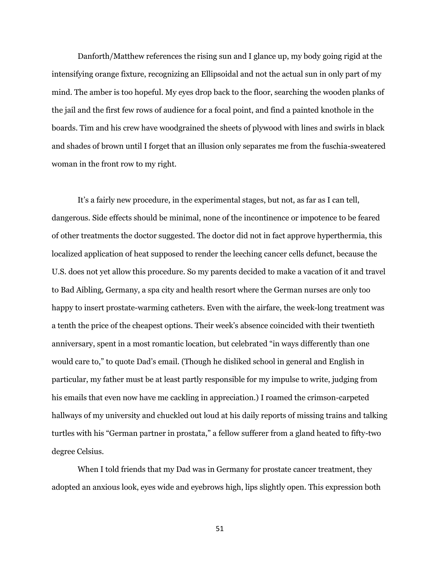Danforth/Matthew references the rising sun and I glance up, my body going rigid at the intensifying orange fixture, recognizing an Ellipsoidal and not the actual sun in only part of my mind. The amber is too hopeful. My eyes drop back to the floor, searching the wooden planks of the jail and the first few rows of audience for a focal point, and find a painted knothole in the boards. Tim and his crew have woodgrained the sheets of plywood with lines and swirls in black and shades of brown until I forget that an illusion only separates me from the fuschia-sweatered woman in the front row to my right.

It's a fairly new procedure, in the experimental stages, but not, as far as I can tell, dangerous. Side effects should be minimal, none of the incontinence or impotence to be feared of other treatments the doctor suggested. The doctor did not in fact approve hyperthermia, this localized application of heat supposed to render the leeching cancer cells defunct, because the U.S. does not yet allow this procedure. So my parents decided to make a vacation of it and travel to Bad Aibling, Germany, a spa city and health resort where the German nurses are only too happy to insert prostate-warming catheters. Even with the airfare, the week-long treatment was a tenth the price of the cheapest options. Their week's absence coincided with their twentieth anniversary, spent in a most romantic location, but celebrated "in ways differently than one would care to," to quote Dad's email. (Though he disliked school in general and English in particular, my father must be at least partly responsible for my impulse to write, judging from his emails that even now have me cackling in appreciation.) I roamed the crimson-carpeted hallways of my university and chuckled out loud at his daily reports of missing trains and talking turtles with his "German partner in prostata," a fellow sufferer from a gland heated to fifty-two degree Celsius.

When I told friends that my Dad was in Germany for prostate cancer treatment, they adopted an anxious look, eyes wide and eyebrows high, lips slightly open. This expression both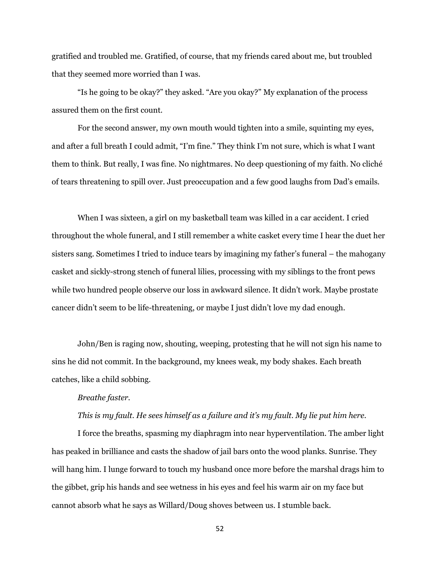gratified and troubled me. Gratified, of course, that my friends cared about me, but troubled that they seemed more worried than I was.

"Is he going to be okay?" they asked. "Are you okay?" My explanation of the process assured them on the first count.

For the second answer, my own mouth would tighten into a smile, squinting my eyes, and after a full breath I could admit, "I'm fine." They think I'm not sure, which is what I want them to think. But really, I was fine. No nightmares. No deep questioning of my faith. No cliché of tears threatening to spill over. Just preoccupation and a few good laughs from Dad's emails.

When I was sixteen, a girl on my basketball team was killed in a car accident. I cried throughout the whole funeral, and I still remember a white casket every time I hear the duet her sisters sang. Sometimes I tried to induce tears by imagining my father's funeral – the mahogany casket and sickly-strong stench of funeral lilies, processing with my siblings to the front pews while two hundred people observe our loss in awkward silence. It didn't work. Maybe prostate cancer didn't seem to be life-threatening, or maybe I just didn't love my dad enough.

John/Ben is raging now, shouting, weeping, protesting that he will not sign his name to sins he did not commit. In the background, my knees weak, my body shakes. Each breath catches, like a child sobbing.

#### *Breathe faster.*

## *This is my fault. He sees himself as a failure and it's my fault. My lie put him here.*

I force the breaths, spasming my diaphragm into near hyperventilation. The amber light has peaked in brilliance and casts the shadow of jail bars onto the wood planks. Sunrise. They will hang him. I lunge forward to touch my husband once more before the marshal drags him to the gibbet, grip his hands and see wetness in his eyes and feel his warm air on my face but cannot absorb what he says as Willard/Doug shoves between us. I stumble back.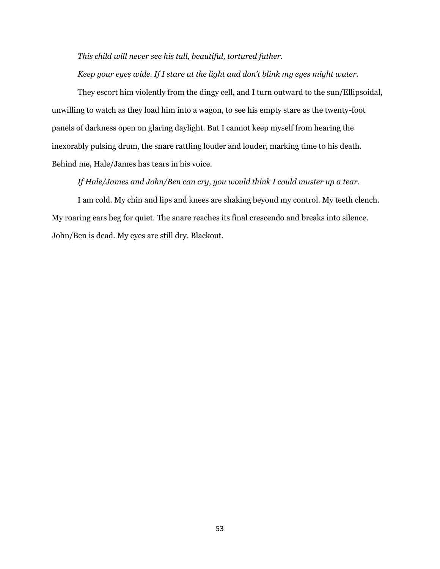*This child will never see his tall, beautiful, tortured father.*

*Keep your eyes wide. If I stare at the light and don't blink my eyes might water.*

They escort him violently from the dingy cell, and I turn outward to the sun/Ellipsoidal, unwilling to watch as they load him into a wagon, to see his empty stare as the twenty-foot panels of darkness open on glaring daylight. But I cannot keep myself from hearing the inexorably pulsing drum, the snare rattling louder and louder, marking time to his death. Behind me, Hale/James has tears in his voice.

*If Hale/James and John/Ben can cry, you would think I could muster up a tear.*

I am cold. My chin and lips and knees are shaking beyond my control. My teeth clench. My roaring ears beg for quiet. The snare reaches its final crescendo and breaks into silence. John/Ben is dead. My eyes are still dry. Blackout.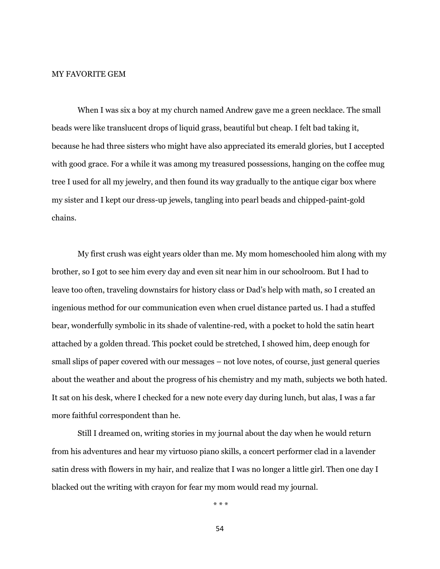#### MY FAVORITE GEM

When I was six a boy at my church named Andrew gave me a green necklace. The small beads were like translucent drops of liquid grass, beautiful but cheap. I felt bad taking it, because he had three sisters who might have also appreciated its emerald glories, but I accepted with good grace. For a while it was among my treasured possessions, hanging on the coffee mug tree I used for all my jewelry, and then found its way gradually to the antique cigar box where my sister and I kept our dress-up jewels, tangling into pearl beads and chipped-paint-gold chains.

My first crush was eight years older than me. My mom homeschooled him along with my brother, so I got to see him every day and even sit near him in our schoolroom. But I had to leave too often, traveling downstairs for history class or Dad's help with math, so I created an ingenious method for our communication even when cruel distance parted us. I had a stuffed bear, wonderfully symbolic in its shade of valentine-red, with a pocket to hold the satin heart attached by a golden thread. This pocket could be stretched, I showed him, deep enough for small slips of paper covered with our messages – not love notes, of course, just general queries about the weather and about the progress of his chemistry and my math, subjects we both hated. It sat on his desk, where I checked for a new note every day during lunch, but alas, I was a far more faithful correspondent than he.

Still I dreamed on, writing stories in my journal about the day when he would return from his adventures and hear my virtuoso piano skills, a concert performer clad in a lavender satin dress with flowers in my hair, and realize that I was no longer a little girl. Then one day I blacked out the writing with crayon for fear my mom would read my journal.

\* \* \*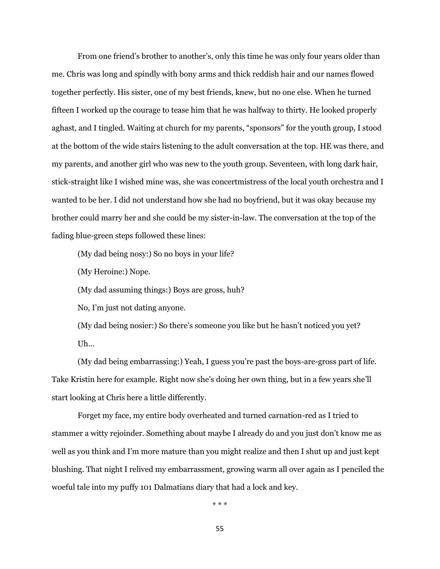From one friend's brother to another's, only this time he was only four years older than me. Chris was long and spindly with bony arms and thick reddish hair and our names flowed together perfectly. His sister, one of my best friends, knew, but no one else. When he turned fifteen I worked up the courage to tease him that he was halfway to thirty. He looked properly aghast, and I tingled. Waiting at church for my parents, "sponsors" for the youth group, I stood at the bottom of the wide stairs listening to the adult conversation at the top. HE was there, and my parents, and another girl who was new to the youth group. Seventeen, with long dark hair, stick-straight like I wished mine was, she was concertmistress of the local youth orchestra and I wanted to be her. I did not understand how she had no boyfriend, but it was okay because my brother could marry her and she could be my sister-in-law. The conversation at the top of the fading blue-green steps followed these lines:

(My dad being nosy:) So no boys in your life?

(My Heroine:) Nope.

(My dad assuming things:) Boys are gross, huh?

No, I'm just not dating anyone.

(My dad being nosier:) So there's someone you like but he hasn't noticed you yet? Uh…

(My dad being embarrassing:) Yeah, I guess you're past the boys-are-gross part of life. Take Kristin here for example. Right now she's doing her own thing, but in a few years she'll start looking at Chris here a little differently.

Forget my face, my entire body overheated and turned carnation-red as I tried to stammer a witty rejoinder. Something about maybe I already do and you just don't know me as well as you think and I'm more mature than you might realize and then I shut up and just kept blushing. That night I relived my embarrassment, growing warm all over again as I penciled the woeful tale into my puffy 101 Dalmatians diary that had a lock and key.

\* \* \*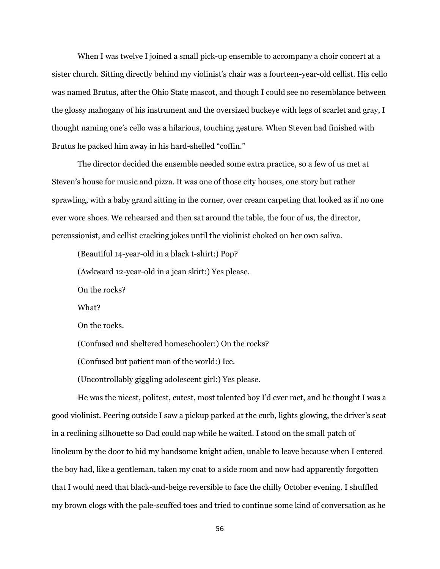When I was twelve I joined a small pick-up ensemble to accompany a choir concert at a sister church. Sitting directly behind my violinist's chair was a fourteen-year-old cellist. His cello was named Brutus, after the Ohio State mascot, and though I could see no resemblance between the glossy mahogany of his instrument and the oversized buckeye with legs of scarlet and gray, I thought naming one's cello was a hilarious, touching gesture. When Steven had finished with Brutus he packed him away in his hard-shelled "coffin."

The director decided the ensemble needed some extra practice, so a few of us met at Steven's house for music and pizza. It was one of those city houses, one story but rather sprawling, with a baby grand sitting in the corner, over cream carpeting that looked as if no one ever wore shoes. We rehearsed and then sat around the table, the four of us, the director, percussionist, and cellist cracking jokes until the violinist choked on her own saliva.

(Beautiful 14-year-old in a black t-shirt:) Pop?

(Awkward 12-year-old in a jean skirt:) Yes please.

On the rocks?

What?

On the rocks.

(Confused and sheltered homeschooler:) On the rocks?

(Confused but patient man of the world:) Ice.

(Uncontrollably giggling adolescent girl:) Yes please.

He was the nicest, politest, cutest, most talented boy I'd ever met, and he thought I was a good violinist. Peering outside I saw a pickup parked at the curb, lights glowing, the driver's seat in a reclining silhouette so Dad could nap while he waited. I stood on the small patch of linoleum by the door to bid my handsome knight adieu, unable to leave because when I entered the boy had, like a gentleman, taken my coat to a side room and now had apparently forgotten that I would need that black-and-beige reversible to face the chilly October evening. I shuffled my brown clogs with the pale-scuffed toes and tried to continue some kind of conversation as he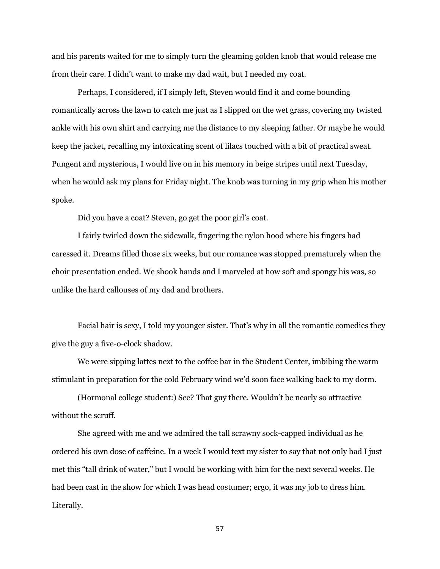and his parents waited for me to simply turn the gleaming golden knob that would release me from their care. I didn't want to make my dad wait, but I needed my coat.

Perhaps, I considered, if I simply left, Steven would find it and come bounding romantically across the lawn to catch me just as I slipped on the wet grass, covering my twisted ankle with his own shirt and carrying me the distance to my sleeping father. Or maybe he would keep the jacket, recalling my intoxicating scent of lilacs touched with a bit of practical sweat. Pungent and mysterious, I would live on in his memory in beige stripes until next Tuesday, when he would ask my plans for Friday night. The knob was turning in my grip when his mother spoke.

Did you have a coat? Steven, go get the poor girl's coat.

I fairly twirled down the sidewalk, fingering the nylon hood where his fingers had caressed it. Dreams filled those six weeks, but our romance was stopped prematurely when the choir presentation ended. We shook hands and I marveled at how soft and spongy his was, so unlike the hard callouses of my dad and brothers.

Facial hair is sexy, I told my younger sister. That's why in all the romantic comedies they give the guy a five-o-clock shadow.

We were sipping lattes next to the coffee bar in the Student Center, imbibing the warm stimulant in preparation for the cold February wind we'd soon face walking back to my dorm.

(Hormonal college student:) See? That guy there. Wouldn't be nearly so attractive without the scruff.

She agreed with me and we admired the tall scrawny sock-capped individual as he ordered his own dose of caffeine. In a week I would text my sister to say that not only had I just met this "tall drink of water," but I would be working with him for the next several weeks. He had been cast in the show for which I was head costumer; ergo, it was my job to dress him. Literally.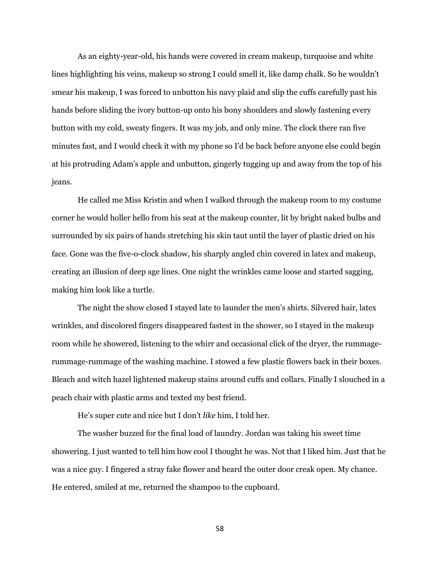As an eighty-year-old, his hands were covered in cream makeup, turquoise and white lines highlighting his veins, makeup so strong I could smell it, like damp chalk. So he wouldn't smear his makeup, I was forced to unbutton his navy plaid and slip the cuffs carefully past his hands before sliding the ivory button-up onto his bony shoulders and slowly fastening every button with my cold, sweaty fingers. It was my job, and only mine. The clock there ran five minutes fast, and I would check it with my phone so I'd be back before anyone else could begin at his protruding Adam's apple and unbutton, gingerly tugging up and away from the top of his jeans.

He called me Miss Kristin and when I walked through the makeup room to my costume corner he would holler hello from his seat at the makeup counter, lit by bright naked bulbs and surrounded by six pairs of hands stretching his skin taut until the layer of plastic dried on his face. Gone was the five-o-clock shadow, his sharply angled chin covered in latex and makeup, creating an illusion of deep age lines. One night the wrinkles came loose and started sagging, making him look like a turtle.

The night the show closed I stayed late to launder the men's shirts. Silvered hair, latex wrinkles, and discolored fingers disappeared fastest in the shower, so I stayed in the makeup room while he showered, listening to the whirr and occasional click of the dryer, the rummagerummage-rummage of the washing machine. I stowed a few plastic flowers back in their boxes. Bleach and witch hazel lightened makeup stains around cuffs and collars. Finally I slouched in a peach chair with plastic arms and texted my best friend.

He's super cute and nice but I don't *like* him, I told her.

The washer buzzed for the final load of laundry. Jordan was taking his sweet time showering. I just wanted to tell him how cool I thought he was. Not that I liked him. Just that he was a nice guy. I fingered a stray fake flower and heard the outer door creak open. My chance. He entered, smiled at me, returned the shampoo to the cupboard.

58